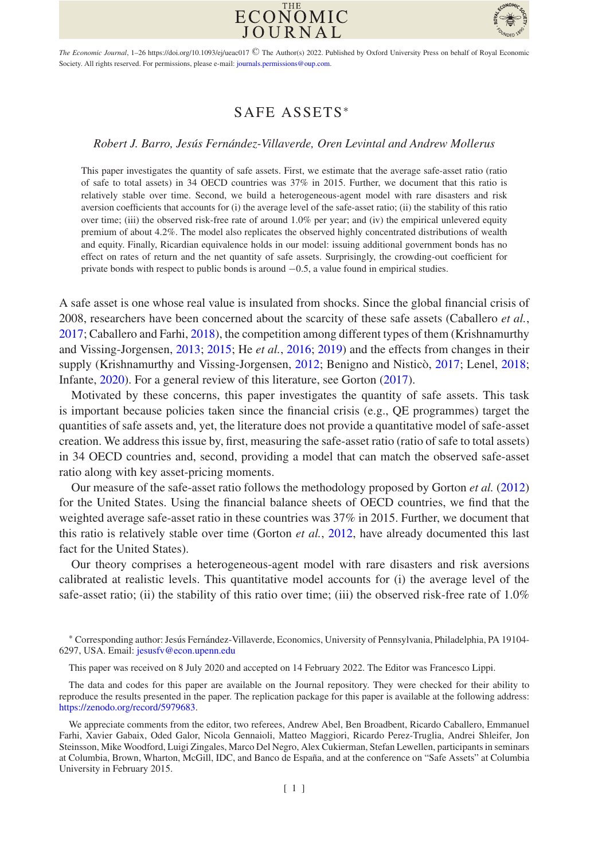



The Economic Journal, 1–26 https://doi.org/10.1093/ej/ueac017 © The Author(s) 2022. Published by Oxford University Press on behalf of Royal Economic Society. All rights reserved. For permissions, please e-mail: [journals.permissions@oup.com.](mailto:journals.permissions@oup.com)

# SAFE ASSETS<sup>∗</sup>

## *Robert J. Barro, Jesus Fern ´ andez-Villaverde, Oren Levintal and Andrew Mollerus ´*

This paper investigates the quantity of safe assets. First, we estimate that the average safe-asset ratio (ratio of safe to total assets) in 34 OECD countries was 37% in 2015. Further, we document that this ratio is relatively stable over time. Second, we build a heterogeneous-agent model with rare disasters and risk aversion coefficients that accounts for (i) the average level of the safe-asset ratio; (ii) the stability of this ratio over time; (iii) the observed risk-free rate of around 1.0% per year; and (iv) the empirical unlevered equity premium of about 4.2%. The model also replicates the observed highly concentrated distributions of wealth and equity. Finally, Ricardian equivalence holds in our model: issuing additional government bonds has no effect on rates of return and the net quantity of safe assets. Surprisingly, the crowding-out coefficient for private bonds with respect to public bonds is around −0.5, a value found in empirical studies.

A safe asset is one whose real value is insulated from shocks. Since the global financial crisis of 2008, researchers have been concerned about the scarcity of these safe assets (Caballero *et al.*, [2017;](#page-24-0) Caballero and Farhi, [2018\)](#page-24-1), the competition among different types of them (Krishnamurthy and Vissing-Jorgensen, [2013;](#page-25-0) [2015;](#page-25-1) He *et al.*, [2016;](#page-24-2) [2019\)](#page-24-3) and the effects from changes in their supply (Krishnamurthy and Vissing-Jorgensen, [2012;](#page-25-2) Benigno and Nistico, [2017;](#page-24-4) Lenel, [2018;](#page-25-3) Infante, [2020\)](#page-24-5). For a general review of this literature, see Gorton [\(2017\)](#page-24-6).

Motivated by these concerns, this paper investigates the quantity of safe assets. This task is important because policies taken since the financial crisis (e.g., QE programmes) target the quantities of safe assets and, yet, the literature does not provide a quantitative model of safe-asset creation. We address this issue by, first, measuring the safe-asset ratio (ratio of safe to total assets) in 34 OECD countries and, second, providing a model that can match the observed safe-asset ratio along with key asset-pricing moments.

Our measure of the safe-asset ratio follows the methodology proposed by Gorton *et al.* [\(2012\)](#page-24-7) for the United States. Using the financial balance sheets of OECD countries, we find that the weighted average safe-asset ratio in these countries was 37% in 2015. Further, we document that this ratio is relatively stable over time (Gorton *et al.*, [2012,](#page-24-7) have already documented this last fact for the United States).

Our theory comprises a heterogeneous-agent model with rare disasters and risk aversions calibrated at realistic levels. This quantitative model accounts for (i) the average level of the safe-asset ratio; (ii) the stability of this ratio over time; (iii) the observed risk-free rate of 1.0%

<sup>\*</sup> Corresponding author: Jesús Fernández-Villaverde, Economics, University of Pennsylvania, Philadelphia, PA 19104-6297, USA. Email: [jesusfv@econ.upenn.edu](mailto:jesusfv@econ.upenn.edu)

This paper was received on 8 July 2020 and accepted on 14 February 2022. The Editor was Francesco Lippi.

The data and codes for this paper are available on the Journal repository. They were checked for their ability to reproduce the results presented in the paper. The replication package for this paper is available at the following address: [https://zenodo.org/record/5979683.](https://zenodo.org/record/5979683)

We appreciate comments from the editor, two referees, Andrew Abel, Ben Broadbent, Ricardo Caballero, Emmanuel Farhi, Xavier Gabaix, Oded Galor, Nicola Gennaioli, Matteo Maggiori, Ricardo Perez-Truglia, Andrei Shleifer, Jon Steinsson, Mike Woodford, Luigi Zingales, Marco Del Negro, Alex Cukierman, Stefan Lewellen, participants in seminars at Columbia, Brown, Wharton, McGill, IDC, and Banco de España, and at the conference on "Safe Assets" at Columbia University in February 2015.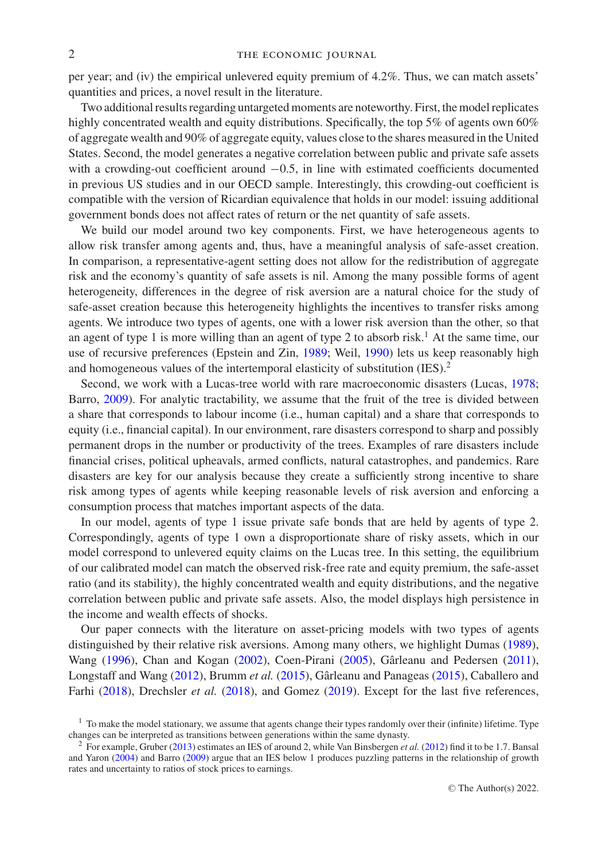per year; and (iv) the empirical unlevered equity premium of 4.2%. Thus, we can match assets' quantities and prices, a novel result in the literature.

Two additional results regarding untargeted moments are noteworthy. First, the model replicates highly concentrated wealth and equity distributions. Specifically, the top 5% of agents own 60% of aggregate wealth and 90% of aggregate equity, values close to the shares measured in the United States. Second, the model generates a negative correlation between public and private safe assets with a crowding-out coefficient around  $-0.5$ , in line with estimated coefficients documented in previous US studies and in our OECD sample. Interestingly, this crowding-out coefficient is compatible with the version of Ricardian equivalence that holds in our model: issuing additional government bonds does not affect rates of return or the net quantity of safe assets.

We build our model around two key components. First, we have heterogeneous agents to allow risk transfer among agents and, thus, have a meaningful analysis of safe-asset creation. In comparison, a representative-agent setting does not allow for the redistribution of aggregate risk and the economy's quantity of safe assets is nil. Among the many possible forms of agent heterogeneity, differences in the degree of risk aversion are a natural choice for the study of safe-asset creation because this heterogeneity highlights the incentives to transfer risks among agents. We introduce two types of agents, one with a lower risk aversion than the other, so that an agent of type 1 is more willing than an agent of type 2 to absorb risk.<sup>1</sup> At the same time, our use of recursive preferences (Epstein and Zin, [1989;](#page-24-8) Weil, [1990\)](#page-25-4) lets us keep reasonably high and homogeneous values of the intertemporal elasticity of substitution (IES).2

Second, we work with a Lucas-tree world with rare macroeconomic disasters (Lucas, [1978;](#page-25-5) Barro, [2009\)](#page-24-9). For analytic tractability, we assume that the fruit of the tree is divided between a share that corresponds to labour income (i.e., human capital) and a share that corresponds to equity (i.e., financial capital). In our environment, rare disasters correspond to sharp and possibly permanent drops in the number or productivity of the trees. Examples of rare disasters include financial crises, political upheavals, armed conflicts, natural catastrophes, and pandemics. Rare disasters are key for our analysis because they create a sufficiently strong incentive to share risk among types of agents while keeping reasonable levels of risk aversion and enforcing a consumption process that matches important aspects of the data.

In our model, agents of type 1 issue private safe bonds that are held by agents of type 2. Correspondingly, agents of type 1 own a disproportionate share of risky assets, which in our model correspond to unlevered equity claims on the Lucas tree. In this setting, the equilibrium of our calibrated model can match the observed risk-free rate and equity premium, the safe-asset ratio (and its stability), the highly concentrated wealth and equity distributions, and the negative correlation between public and private safe assets. Also, the model displays high persistence in the income and wealth effects of shocks.

Our paper connects with the literature on asset-pricing models with two types of agents distinguished by their relative risk aversions. Among many others, we highlight Dumas [\(1989\)](#page-24-10), Wang [\(1996\)](#page-25-6), Chan and Kogan [\(2002\)](#page-24-11), Coen-Pirani [\(2005\)](#page-24-12), Gârleanu and Pedersen ([2011\)](#page-24-13), Longstaff and Wang [\(2012\)](#page-25-7), Brumm et al. [\(2015\)](#page-24-14), Gârleanu and Panageas ([2015\)](#page-24-15), Caballero and Farhi [\(2018\)](#page-24-1), Drechsler *et al.* [\(2018\)](#page-24-16), and Gomez [\(2019\)](#page-24-17). Except for the last five references,

 $<sup>1</sup>$  To make the model stationary, we assume that agents change their types randomly over their (infinite) lifetime. Type</sup> changes can be interpreted as transitions between generations within the same dynasty.

<sup>2</sup> For example, Gruber [\(2013\)](#page-24-18) estimates an IES of around 2, while Van Binsbergen *et al.* [\(2012\)](#page-25-8) find it to be 1.7. Bansal and Yaron [\(2004\)](#page-24-19) and Barro [\(2009\)](#page-24-9) argue that an IES below 1 produces puzzling patterns in the relationship of growth rates and uncertainty to ratios of stock prices to earnings.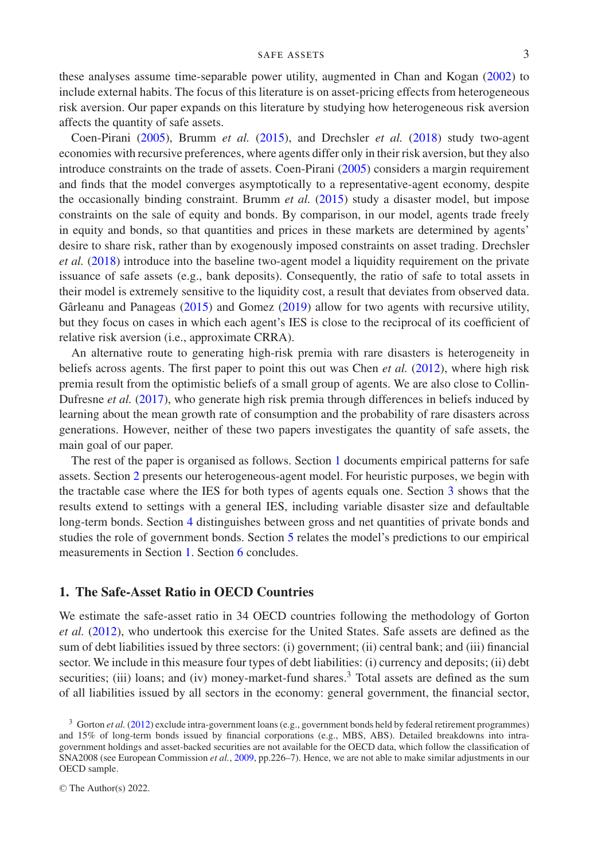these analyses assume time-separable power utility, augmented in Chan and Kogan [\(2002\)](#page-24-11) to include external habits. The focus of this literature is on asset-pricing effects from heterogeneous risk aversion. Our paper expands on this literature by studying how heterogeneous risk aversion affects the quantity of safe assets.

Coen-Pirani [\(2005\)](#page-24-12), Brumm *et al.* [\(2015\)](#page-24-14), and Drechsler *et al.* [\(2018\)](#page-24-16) study two-agent economies with recursive preferences, where agents differ only in their risk aversion, but they also introduce constraints on the trade of assets. Coen-Pirani [\(2005\)](#page-24-12) considers a margin requirement and finds that the model converges asymptotically to a representative-agent economy, despite the occasionally binding constraint. Brumm *et al.* [\(2015\)](#page-24-14) study a disaster model, but impose constraints on the sale of equity and bonds. By comparison, in our model, agents trade freely in equity and bonds, so that quantities and prices in these markets are determined by agents' desire to share risk, rather than by exogenously imposed constraints on asset trading. Drechsler *et al.* [\(2018\)](#page-24-16) introduce into the baseline two-agent model a liquidity requirement on the private issuance of safe assets (e.g., bank deposits). Consequently, the ratio of safe to total assets in their model is extremely sensitive to the liquidity cost, a result that deviates from observed data. Gârleanu and Panageas  $(2015)$  $(2015)$  and Gomez  $(2019)$  allow for two agents with recursive utility, but they focus on cases in which each agent's IES is close to the reciprocal of its coefficient of relative risk aversion (i.e., approximate CRRA).

An alternative route to generating high-risk premia with rare disasters is heterogeneity in beliefs across agents. The first paper to point this out was Chen *et al.* [\(2012\)](#page-24-20), where high risk premia result from the optimistic beliefs of a small group of agents. We are also close to Collin-Dufresne *et al.* [\(2017\)](#page-24-21), who generate high risk premia through differences in beliefs induced by learning about the mean growth rate of consumption and the probability of rare disasters across generations. However, neither of these two papers investigates the quantity of safe assets, the main goal of our paper.

The rest of the paper is organised as follows. Section [1](#page-2-0) documents empirical patterns for safe assets. Section [2](#page-7-0) presents our heterogeneous-agent model. For heuristic purposes, we begin with the tractable case where the IES for both types of agents equals one. Section [3](#page-13-0) shows that the results extend to settings with a general IES, including variable disaster size and defaultable long-term bonds. Section [4](#page-19-0) distinguishes between gross and net quantities of private bonds and studies the role of government bonds. Section [5](#page-21-0) relates the model's predictions to our empirical measurements in Section [1.](#page-2-0) Section [6](#page-23-0) concludes.

## <span id="page-2-0"></span>**1. The Safe-Asset Ratio in OECD Countries**

We estimate the safe-asset ratio in 34 OECD countries following the methodology of Gorton *et al.* [\(2012\)](#page-24-7), who undertook this exercise for the United States. Safe assets are defined as the sum of debt liabilities issued by three sectors: (i) government; (ii) central bank; and (iii) financial sector. We include in this measure four types of debt liabilities: (i) currency and deposits; (ii) debt securities; (iii) loans; and (iv) money-market-fund shares.<sup>3</sup> Total assets are defined as the sum of all liabilities issued by all sectors in the economy: general government, the financial sector,

<sup>3</sup> Gorton *et al.* [\(2012\)](#page-24-7) exclude intra-government loans (e.g., government bonds held by federal retirement programmes) and 15% of long-term bonds issued by financial corporations (e.g., MBS, ABS). Detailed breakdowns into intragovernment holdings and asset-backed securities are not available for the OECD data, which follow the classification of SNA2008 (see European Commission *et al.*, [2009,](#page-24-22) pp.226–7). Hence, we are not able to make similar adjustments in our OECD sample.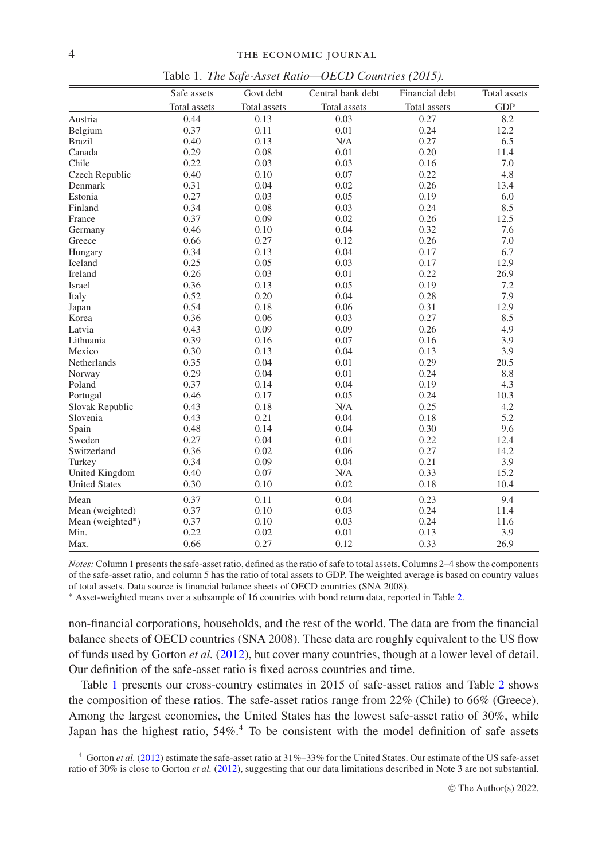<span id="page-3-0"></span>

|                      | Govt debt<br>Safe assets |              | Central bank debt | Financial debt | Total assets |
|----------------------|--------------------------|--------------|-------------------|----------------|--------------|
|                      | Total assets             | Total assets | Total assets      | Total assets   | <b>GDP</b>   |
| Austria              | 0.44                     | 0.13         | 0.03              | 0.27           | 8.2          |
| Belgium              | 0.37                     | 0.11         | 0.01              | 0.24           | 12.2         |
| <b>Brazil</b>        | 0.40                     | 0.13         | N/A               | 0.27           | 6.5          |
| Canada               | 0.29                     | 0.08         | 0.01              | 0.20           | 11.4         |
| Chile                | 0.22                     | 0.03         | 0.03              | 0.16           | 7.0          |
| Czech Republic       | 0.40                     | 0.10         | 0.07              | 0.22           | 4.8          |
| Denmark              | 0.31                     | 0.04         | 0.02              | 0.26           | 13.4         |
| Estonia              | 0.27                     | 0.03         | 0.05              | 0.19           | 6.0          |
| Finland              | 0.34                     | 0.08         | 0.03              | 0.24           | 8.5          |
| France               | 0.37                     | 0.09         | 0.02              | 0.26           | 12.5         |
| Germany              | 0.46                     | 0.10         | 0.04              | 0.32           | 7.6          |
| Greece               | 0.66                     | 0.27         | 0.12              | 0.26           | 7.0          |
| Hungary              | 0.34                     | 0.13         | 0.04              | 0.17           | 6.7          |
| Iceland              | 0.25                     | 0.05         | 0.03              | 0.17           | 12.9         |
| Ireland              | 0.26                     | 0.03         | 0.01              | 0.22           | 26.9         |
| Israel               | 0.36                     | 0.13         | 0.05              | 0.19           | 7.2          |
| Italy                | 0.52                     | 0.20         | 0.04              | 0.28           | 7.9          |
| Japan                | 0.54                     | 0.18         | 0.06              | 0.31           | 12.9         |
| Korea                | 0.36                     | 0.06         | 0.03              | 0.27           | 8.5          |
| Latvia               | 0.43                     | 0.09         | 0.09              | 0.26           | 4.9          |
| Lithuania            | 0.39                     | 0.16         | 0.07              | 0.16           | 3.9          |
| Mexico               | 0.30                     | 0.13         | 0.04              | 0.13           | 3.9          |
| Netherlands          | 0.35                     | 0.04         | 0.01              | 0.29           | 20.5         |
| Norway               | 0.29                     | 0.04         | 0.01              | 0.24           | 8.8          |
| Poland               | 0.37                     | 0.14         | 0.04              | 0.19           | 4.3          |
| Portugal             | 0.46                     | 0.17         | 0.05              | 0.24           | 10.3         |
| Slovak Republic      | 0.43                     | 0.18         | N/A               | 0.25           | 4.2          |
| Slovenia             | 0.43                     | 0.21         | 0.04              | 0.18           | 5.2          |
| Spain                | 0.48                     | 0.14         | 0.04              | 0.30           | 9.6          |
| Sweden               | 0.27                     | 0.04         | 0.01              | 0.22           | 12.4         |
| Switzerland          | 0.36                     | 0.02         | 0.06              | 0.27           | 14.2         |
| Turkey               | 0.34                     | 0.09         | 0.04              | 0.21           | 3.9          |
| United Kingdom       | 0.40                     | 0.07         | N/A               | 0.33           | 15.2         |
| <b>United States</b> | 0.30                     | 0.10         | 0.02              | 0.18           | 10.4         |
| Mean                 | 0.37                     | 0.11         | 0.04              | 0.23           | 9.4          |
| Mean (weighted)      | 0.37                     | 0.10         | 0.03              | 0.24           | 11.4         |
| Mean (weighted*)     | 0.37                     | 0.10         | 0.03              | 0.24           | 11.6         |
| Min.                 | 0.22                     | 0.02         | 0.01              | 0.13           | 3.9          |
| Max.                 | 0.66                     | 0.27         | 0.12              | 0.33           | 26.9         |

Table 1. *The Safe-Asset Ratio—OECD Countries (2015).*

*Notes:* Column 1 presents the safe-asset ratio, defined as the ratio of safe to total assets. Columns 2–4 show the components of the safe-asset ratio, and column 5 has the ratio of total assets to GDP. The weighted average is based on country values of total assets. Data source is financial balance sheets of OECD countries (SNA 2008).

∗ Asset-weighted means over a subsample of 16 countries with bond return data, reported in Table [2.](#page-4-0)

non-financial corporations, households, and the rest of the world. The data are from the financial balance sheets of OECD countries (SNA 2008). These data are roughly equivalent to the US flow of funds used by Gorton *et al.* [\(2012\)](#page-24-7), but cover many countries, though at a lower level of detail. Our definition of the safe-asset ratio is fixed across countries and time.

Table [1](#page-3-0) presents our cross-country estimates in 2015 of safe-asset ratios and Table [2](#page-4-0) shows the composition of these ratios. The safe-asset ratios range from 22% (Chile) to 66% (Greece). Among the largest economies, the United States has the lowest safe-asset ratio of 30%, while Japan has the highest ratio, 54%.<sup>4</sup> To be consistent with the model definition of safe assets

<sup>4</sup> Gorton *et al.* [\(2012\)](#page-24-7) estimate the safe-asset ratio at 31%–33% for the United States. Our estimate of the US safe-asset ratio of 30% is close to Gorton *et al.* [\(2012\)](#page-24-7), suggesting that our data limitations described in Note 3 are not substantial.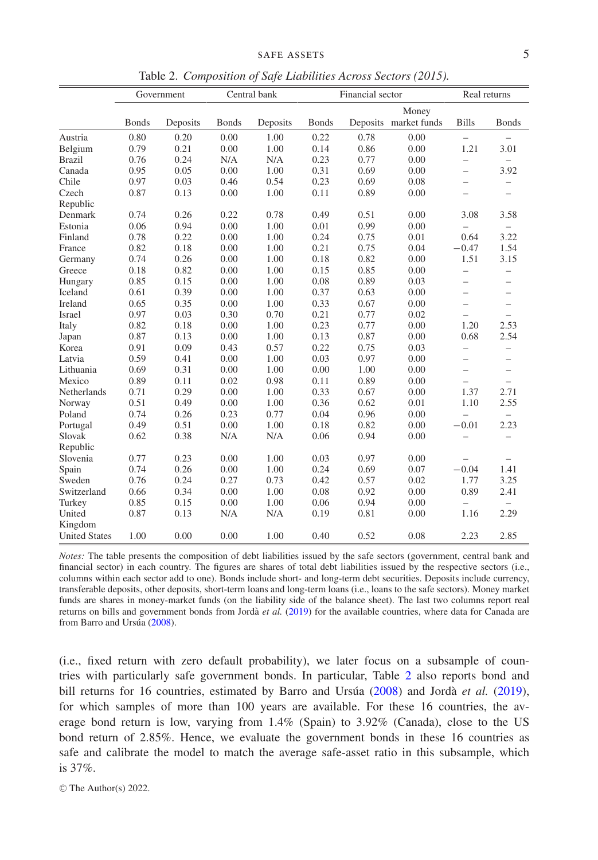|  |  |  | Table 2. Composition of Safe Liabilities Across Sectors (2015). |  |  |
|--|--|--|-----------------------------------------------------------------|--|--|
|--|--|--|-----------------------------------------------------------------|--|--|

<span id="page-4-0"></span>

|                      | Government   |          | Central bank |          | Financial sector |      |                       | Real returns             |                          |
|----------------------|--------------|----------|--------------|----------|------------------|------|-----------------------|--------------------------|--------------------------|
|                      |              |          |              |          |                  |      | Money                 |                          |                          |
|                      | <b>Bonds</b> | Deposits | <b>Bonds</b> | Deposits | <b>Bonds</b>     |      | Deposits market funds | <b>Bills</b>             | <b>Bonds</b>             |
| Austria              | 0.80         | 0.20     | 0.00         | 1.00     | 0.22             | 0.78 | 0.00                  | $-$                      | $\overline{\phantom{0}}$ |
| Belgium              | 0.79         | 0.21     | 0.00         | 1.00     | 0.14             | 0.86 | 0.00                  | 1.21                     | 3.01                     |
| <b>Brazil</b>        | 0.76         | 0.24     | N/A          | N/A      | 0.23             | 0.77 | 0.00                  | $\overline{\phantom{0}}$ | $\overline{\phantom{0}}$ |
| Canada               | 0.95         | 0.05     | 0.00         | 1.00     | 0.31             | 0.69 | 0.00                  | $\overline{a}$           | 3.92                     |
| Chile                | 0.97         | 0.03     | 0.46         | 0.54     | 0.23             | 0.69 | 0.08                  | $\overline{\phantom{0}}$ | $\overline{\phantom{0}}$ |
| Czech                | 0.87         | 0.13     | 0.00         | 1.00     | 0.11             | 0.89 | 0.00                  | $\overline{\phantom{0}}$ | $\overline{\phantom{0}}$ |
| Republic             |              |          |              |          |                  |      |                       |                          |                          |
| Denmark              | 0.74         | 0.26     | 0.22         | 0.78     | 0.49             | 0.51 | 0.00                  | 3.08                     | 3.58                     |
| Estonia              | 0.06         | 0.94     | 0.00         | 1.00     | 0.01             | 0.99 | 0.00                  | $\overline{\phantom{0}}$ | $\overline{\phantom{0}}$ |
| Finland              | 0.78         | 0.22     | 0.00         | 1.00     | 0.24             | 0.75 | 0.01                  | 0.64                     | 3.22                     |
| France               | 0.82         | 0.18     | 0.00         | 1.00     | 0.21             | 0.75 | 0.04                  | $-0.47$                  | 1.54                     |
| Germany              | 0.74         | 0.26     | 0.00         | 1.00     | 0.18             | 0.82 | 0.00                  | 1.51                     | 3.15                     |
| Greece               | 0.18         | 0.82     | 0.00         | 1.00     | 0.15             | 0.85 | 0.00                  | $\overline{\phantom{0}}$ | $\overline{\phantom{0}}$ |
| Hungary              | 0.85         | 0.15     | 0.00         | 1.00     | 0.08             | 0.89 | 0.03                  | $\overline{\phantom{0}}$ | $\overline{\phantom{0}}$ |
| Iceland              | 0.61         | 0.39     | 0.00         | 1.00     | 0.37             | 0.63 | 0.00                  | $\overline{\phantom{0}}$ | $\overline{\phantom{0}}$ |
| Ireland              | 0.65         | 0.35     | 0.00         | 1.00     | 0.33             | 0.67 | 0.00                  | -                        | $\overline{\phantom{0}}$ |
| Israel               | 0.97         | 0.03     | 0.30         | 0.70     | 0.21             | 0.77 | 0.02                  | $\overline{\phantom{0}}$ | $\overline{\phantom{0}}$ |
| Italy                | 0.82         | 0.18     | 0.00         | 1.00     | 0.23             | 0.77 | 0.00                  | 1.20                     | 2.53                     |
| Japan                | 0.87         | 0.13     | 0.00         | 1.00     | 0.13             | 0.87 | 0.00                  | 0.68                     | 2.54                     |
| Korea                | 0.91         | 0.09     | 0.43         | 0.57     | 0.22             | 0.75 | 0.03                  | $\overline{\phantom{0}}$ | $\overline{\phantom{0}}$ |
| Latvia               | 0.59         | 0.41     | 0.00         | 1.00     | 0.03             | 0.97 | 0.00                  | $\overline{\phantom{0}}$ | $\overline{\phantom{0}}$ |
| Lithuania            | 0.69         | 0.31     | 0.00         | 1.00     | 0.00             | 1.00 | 0.00                  | $\overline{\phantom{0}}$ | $\overline{\phantom{0}}$ |
| Mexico               | 0.89         | 0.11     | 0.02         | 0.98     | 0.11             | 0.89 | 0.00                  | $\overline{\phantom{0}}$ | $\overline{a}$           |
| <b>Netherlands</b>   | 0.71         | 0.29     | 0.00         | 1.00     | 0.33             | 0.67 | 0.00                  | 1.37                     | 2.71                     |
| Norway               | 0.51         | 0.49     | 0.00         | 1.00     | 0.36             | 0.62 | 0.01                  | 1.10                     | 2.55                     |
| Poland               | 0.74         | 0.26     | 0.23         | 0.77     | 0.04             | 0.96 | 0.00                  | $\overline{a}$           | $\overline{\phantom{0}}$ |
| Portugal             | 0.49         | 0.51     | 0.00         | 1.00     | 0.18             | 0.82 | 0.00                  | $-0.01$                  | 2.23                     |
| Slovak               | 0.62         | 0.38     | N/A          | N/A      | 0.06             | 0.94 | 0.00                  | $\overline{\phantom{0}}$ | $\overline{a}$           |
| Republic             |              |          |              |          |                  |      |                       |                          |                          |
| Slovenia             | 0.77         | 0.23     | 0.00         | 1.00     | 0.03             | 0.97 | 0.00                  | $\overline{\phantom{0}}$ | $\overline{\phantom{0}}$ |
| Spain                | 0.74         | 0.26     | 0.00         | 1.00     | 0.24             | 0.69 | 0.07                  | $-0.04$                  | 1.41                     |
| Sweden               | 0.76         | 0.24     | 0.27         | 0.73     | 0.42             | 0.57 | 0.02                  | 1.77                     | 3.25                     |
| Switzerland          | 0.66         | 0.34     | 0.00         | 1.00     | 0.08             | 0.92 | 0.00                  | 0.89                     | 2.41                     |
| Turkey               | 0.85         | 0.15     | 0.00         | 1.00     | 0.06             | 0.94 | 0.00                  | $\overline{\phantom{0}}$ |                          |
| United               | 0.87         | 0.13     | N/A          | N/A      | 0.19             | 0.81 | 0.00                  | 1.16                     | 2.29                     |
| Kingdom              |              |          |              |          |                  |      |                       |                          |                          |
| <b>United States</b> | 1.00         | 0.00     | 0.00         | 1.00     | 0.40             | 0.52 | 0.08                  | 2.23                     | 2.85                     |

*Notes:* The table presents the composition of debt liabilities issued by the safe sectors (government, central bank and financial sector) in each country. The figures are shares of total debt liabilities issued by the respective sectors (i.e., columns within each sector add to one). Bonds include short- and long-term debt securities. Deposits include currency, transferable deposits, other deposits, short-term loans and long-term loans (i.e., loans to the safe sectors). Money market funds are shares in money-market funds (on the liability side of the balance sheet). The last two columns report real returns on bills and government bonds from Jordà et al. [\(2019\)](#page-25-9) for the available countries, where data for Canada are from Barro and Ursúa ([2008\)](#page-24-23).

(i.e., fixed return with zero default probability), we later focus on a subsample of countries with particularly safe government bonds. In particular, Table [2](#page-4-0) also reports bond and bill returns for 16 countries, estimated by Barro and Ursua ([2008\)](#page-24-23) and Jordà *et al.* [\(2019\)](#page-25-9), for which samples of more than 100 years are available. For these 16 countries, the average bond return is low, varying from 1.4% (Spain) to 3.92% (Canada), close to the US bond return of 2.85%. Hence, we evaluate the government bonds in these 16 countries as safe and calibrate the model to match the average safe-asset ratio in this subsample, which is 37%.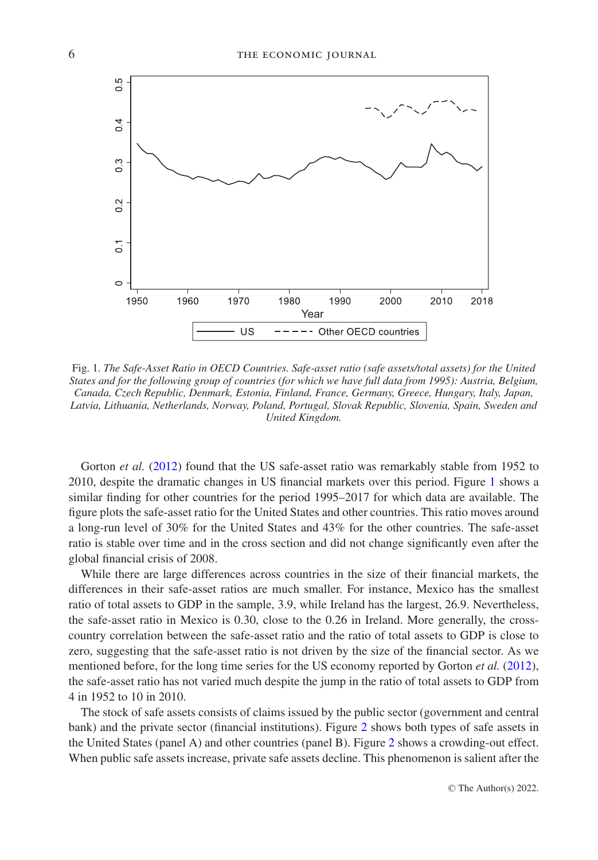<span id="page-5-0"></span>

Fig. 1. *The Safe-Asset Ratio in OECD Countries. Safe-asset ratio (safe assets/total assets) for the United States and for the following group of countries (for which we have full data from 1995): Austria, Belgium, Canada, Czech Republic, Denmark, Estonia, Finland, France, Germany, Greece, Hungary, Italy, Japan, Latvia, Lithuania, Netherlands, Norway, Poland, Portugal, Slovak Republic, Slovenia, Spain, Sweden and United Kingdom.*

Gorton *et al.* [\(2012\)](#page-24-7) found that the US safe-asset ratio was remarkably stable from 1952 to 2010, despite the dramatic changes in US financial markets over this period. Figure [1](#page-5-0) shows a similar finding for other countries for the period 1995–2017 for which data are available. The figure plots the safe-asset ratio for the United States and other countries. This ratio moves around a long-run level of 30% for the United States and 43% for the other countries. The safe-asset ratio is stable over time and in the cross section and did not change significantly even after the global financial crisis of 2008.

While there are large differences across countries in the size of their financial markets, the differences in their safe-asset ratios are much smaller. For instance, Mexico has the smallest ratio of total assets to GDP in the sample, 3.9, while Ireland has the largest, 26.9. Nevertheless, the safe-asset ratio in Mexico is 0.30, close to the 0.26 in Ireland. More generally, the crosscountry correlation between the safe-asset ratio and the ratio of total assets to GDP is close to zero, suggesting that the safe-asset ratio is not driven by the size of the financial sector. As we mentioned before, for the long time series for the US economy reported by Gorton *et al.* [\(2012\)](#page-24-7), the safe-asset ratio has not varied much despite the jump in the ratio of total assets to GDP from 4 in 1952 to 10 in 2010.

The stock of safe assets consists of claims issued by the public sector (government and central bank) and the private sector (financial institutions). Figure [2](#page-6-0) shows both types of safe assets in the United States (panel A) and other countries (panel B). Figure [2](#page-6-0) shows a crowding-out effect. When public safe assets increase, private safe assets decline. This phenomenon is salient after the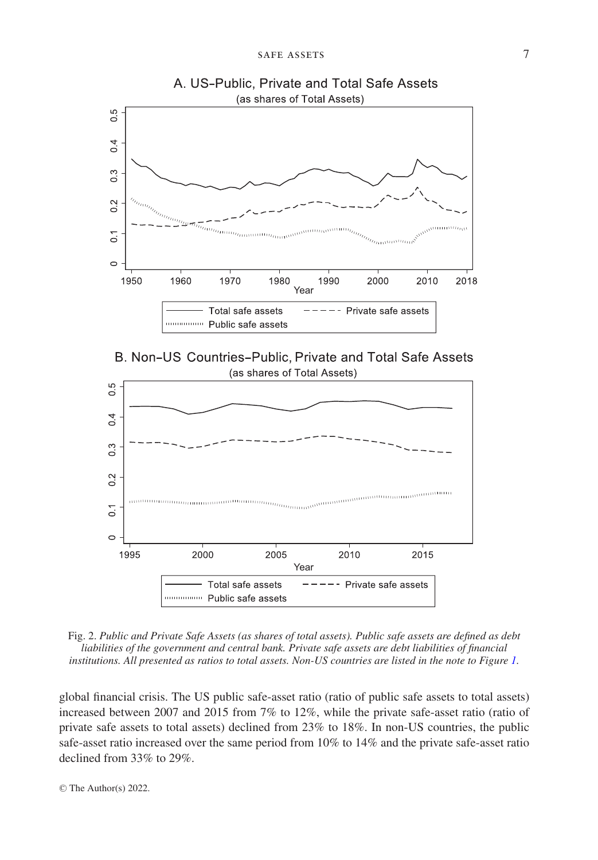<span id="page-6-0"></span>

A. US-Public, Private and Total Safe Assets





Fig. 2. *Public and Private Safe Assets (as shares of total assets). Public safe assets are defined as debt liabilities of the government and central bank. Private safe assets are debt liabilities of financial institutions. All presented as ratios to total assets. Non-US countries are listed in the note to Figure [1.](#page-5-0)*

global financial crisis. The US public safe-asset ratio (ratio of public safe assets to total assets) increased between 2007 and 2015 from 7% to 12%, while the private safe-asset ratio (ratio of private safe assets to total assets) declined from 23% to 18%. In non-US countries, the public safe-asset ratio increased over the same period from 10% to 14% and the private safe-asset ratio declined from 33% to 29%.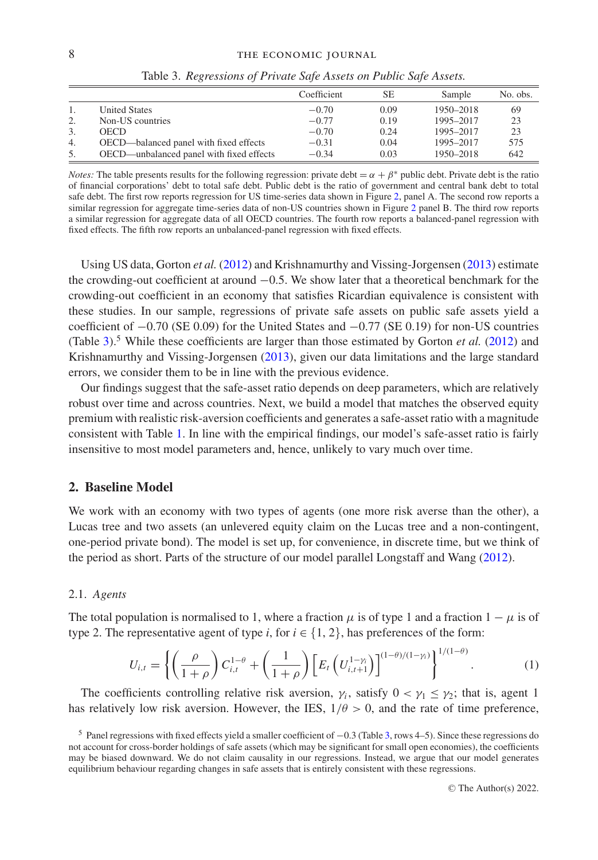<span id="page-7-1"></span>

|    |                                          | Coefficient | <b>SE</b> | Sample    | No. obs. |
|----|------------------------------------------|-------------|-----------|-----------|----------|
|    | <b>United States</b>                     | $-0.70$     | 0.09      | 1950-2018 | 69       |
|    | Non-US countries                         | $-0.77$     | 0.19      | 1995-2017 | 23       |
| 3. | <b>OECD</b>                              | $-0.70$     | 0.24      | 1995-2017 | 23       |
| 4. | OECD—balanced panel with fixed effects   | $-0.31$     | 0.04      | 1995-2017 | 575      |
| 5. | OECD—unbalanced panel with fixed effects | $-0.34$     | 0.03      | 1950-2018 | 642      |

Table 3. *Regressions of Private Safe Assets on Public Safe Assets.*

*Notes:* The table presents results for the following regression: private debt  $= \alpha + \beta^*$  public debt. Private debt is the ratio of financial corporations' debt to total safe debt. Public debt is the ratio of government and central bank debt to total safe debt. The first row reports regression for US time-series data shown in Figure [2,](#page-6-0) panel A. The second row reports a similar regression for aggregate time-series data of non-US countries shown in Figure [2](#page-6-0) panel B. The third row reports a similar regression for aggregate data of all OECD countries. The fourth row reports a balanced-panel regression with fixed effects. The fifth row reports an unbalanced-panel regression with fixed effects.

Using US data, Gorton *et al.* [\(2012\)](#page-24-7) and Krishnamurthy and Vissing-Jorgensen [\(2013\)](#page-25-0) estimate the crowding-out coefficient at around −0.5. We show later that a theoretical benchmark for the crowding-out coefficient in an economy that satisfies Ricardian equivalence is consistent with these studies. In our sample, regressions of private safe assets on public safe assets yield a coefficient of −0.70 (SE 0.09) for the United States and −0.77 (SE 0.19) for non-US countries (Table [3\)](#page-7-1).<sup>5</sup> While these coefficients are larger than those estimated by Gorton *et al.* [\(2012\)](#page-24-7) and Krishnamurthy and Vissing-Jorgensen [\(2013\)](#page-25-0), given our data limitations and the large standard errors, we consider them to be in line with the previous evidence.

Our findings suggest that the safe-asset ratio depends on deep parameters, which are relatively robust over time and across countries. Next, we build a model that matches the observed equity premium with realistic risk-aversion coefficients and generates a safe-asset ratio with a magnitude consistent with Table [1.](#page-3-0) In line with the empirical findings, our model's safe-asset ratio is fairly insensitive to most model parameters and, hence, unlikely to vary much over time.

## **2. Baseline Model**

<span id="page-7-0"></span>We work with an economy with two types of agents (one more risk averse than the other), a Lucas tree and two assets (an unlevered equity claim on the Lucas tree and a non-contingent, one-period private bond). The model is set up, for convenience, in discrete time, but we think of the period as short. Parts of the structure of our model parallel Longstaff and Wang [\(2012\)](#page-25-7).

#### 2.1. *Agents*

The total population is normalised to 1, where a fraction  $\mu$  is of type 1 and a fraction 1 –  $\mu$  is of type 2. The representative agent of type *i*, for  $i \in \{1, 2\}$ , has preferences of the form:

<span id="page-7-2"></span>
$$
U_{i,t} = \left\{ \left( \frac{\rho}{1+\rho} \right) C_{i,t}^{1-\theta} + \left( \frac{1}{1+\rho} \right) \left[ E_t \left( U_{i,t+1}^{1-\gamma_i} \right) \right]^{(1-\theta)/(1-\gamma_i)} \right\}^{1/(1-\theta)}.
$$
 (1)

The coefficients controlling relative risk aversion,  $\gamma_i$ , satisfy  $0 < \gamma_1 \leq \gamma_2$ ; that is, agent 1 has relatively low risk aversion. However, the IES,  $1/\theta > 0$ , and the rate of time preference,

<sup>5</sup> Panel regressions with fixed effects yield a smaller coefficient of <sup>−</sup>0.3 (Table [3,](#page-7-1) rows 4–5). Since these regressions do not account for cross-border holdings of safe assets (which may be significant for small open economies), the coefficients may be biased downward. We do not claim causality in our regressions. Instead, we argue that our model generates equilibrium behaviour regarding changes in safe assets that is entirely consistent with these regressions.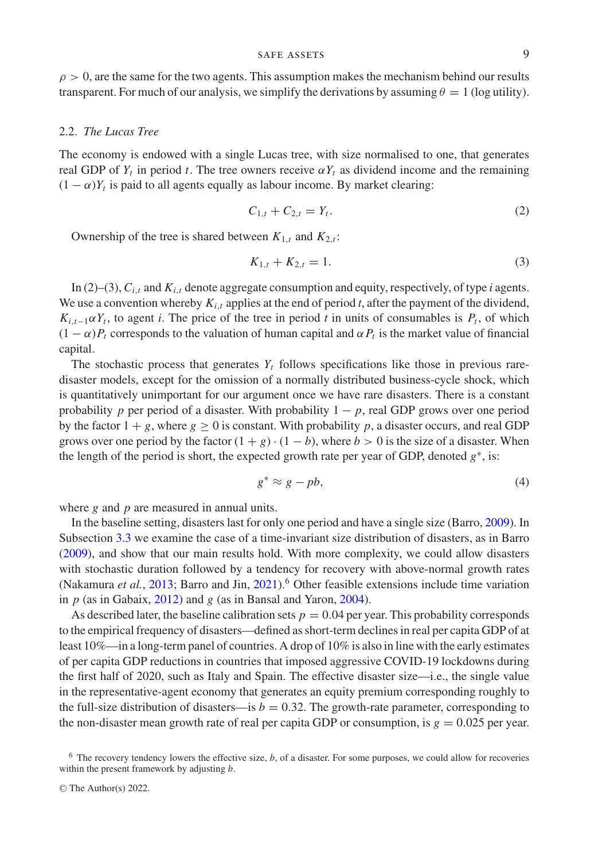$\rho > 0$ , are the same for the two agents. This assumption makes the mechanism behind our results transparent. For much of our analysis, we simplify the derivations by assuming  $\theta = 1$  (log utility).

#### 2.2. *The Lucas Tree*

The economy is endowed with a single Lucas tree, with size normalised to one, that generates real GDP of  $Y_t$  in period t. The tree owners receive  $\alpha Y_t$  as dividend income and the remaining  $(1 - \alpha)Y_t$  is paid to all agents equally as labour income. By market clearing:

<span id="page-8-0"></span>
$$
C_{1,t} + C_{2,t} = Y_t.
$$
 (2)

Ownership of the tree is shared between  $K_{1,t}$  and  $K_{2,t}$ :

<span id="page-8-1"></span>
$$
K_{1,t} + K_{2,t} = 1.
$$
 (3)

In (2)–(3),  $C_{i,t}$  and  $K_{i,t}$  denote aggregate consumption and equity, respectively, of type *i* agents. We use a convention whereby *Ki*,*<sup>t</sup>* applies at the end of period *t*, after the payment of the dividend,  $K_{i,t-1} \alpha Y_t$ , to agent *i*. The price of the tree in period *t* in units of consumables is  $P_t$ , of which  $(1 - \alpha)P_t$  corresponds to the valuation of human capital and  $\alpha P_t$  is the market value of financial capital.

The stochastic process that generates  $Y_t$  follows specifications like those in previous raredisaster models, except for the omission of a normally distributed business-cycle shock, which is quantitatively unimportant for our argument once we have rare disasters. There is a constant probability *p* per period of a disaster. With probability  $1 - p$ , real GDP grows over one period by the factor  $1 + g$ , where  $g \ge 0$  is constant. With probability p, a disaster occurs, and real GDP grows over one period by the factor  $(1 + g) \cdot (1 - b)$ , where  $b > 0$  is the size of a disaster. When the length of the period is short, the expected growth rate per year of GDP, denoted  $g^*$ , is:

<span id="page-8-2"></span>
$$
g^* \approx g - pb,\tag{4}
$$

where *g* and *p* are measured in annual units.

In the baseline setting, disasters last for only one period and have a single size (Barro, [2009\)](#page-24-9). In Subsection [3.3](#page-17-0) we examine the case of a time-invariant size distribution of disasters, as in Barro [\(2009\)](#page-24-9), and show that our main results hold. With more complexity, we could allow disasters with stochastic duration followed by a tendency for recovery with above-normal growth rates (Nakamura *et al.*, [2013;](#page-25-10) Barro and Jin, [2021\)](#page-24-24).<sup>6</sup> Other feasible extensions include time variation in *p* (as in Gabaix, [2012\)](#page-24-25) and *g* (as in Bansal and Yaron, [2004\)](#page-24-19).

As described later, the baseline calibration sets  $p = 0.04$  per year. This probability corresponds to the empirical frequency of disasters—defined as short-term declines in real per capita GDP of at least 10%—in a long-term panel of countries. A drop of 10% is also in line with the early estimates of per capita GDP reductions in countries that imposed aggressive COVID-19 lockdowns during the first half of 2020, such as Italy and Spain. The effective disaster size—i.e., the single value in the representative-agent economy that generates an equity premium corresponding roughly to the full-size distribution of disasters—is  $b = 0.32$ . The growth-rate parameter, corresponding to the non-disaster mean growth rate of real per capita GDP or consumption, is  $g = 0.025$  per year.

<sup>6</sup> The recovery tendency lowers the effective size, *b*, of a disaster. For some purposes, we could allow for recoveries within the present framework by adjusting *b*.

<sup>©</sup> The Author(s) 2022.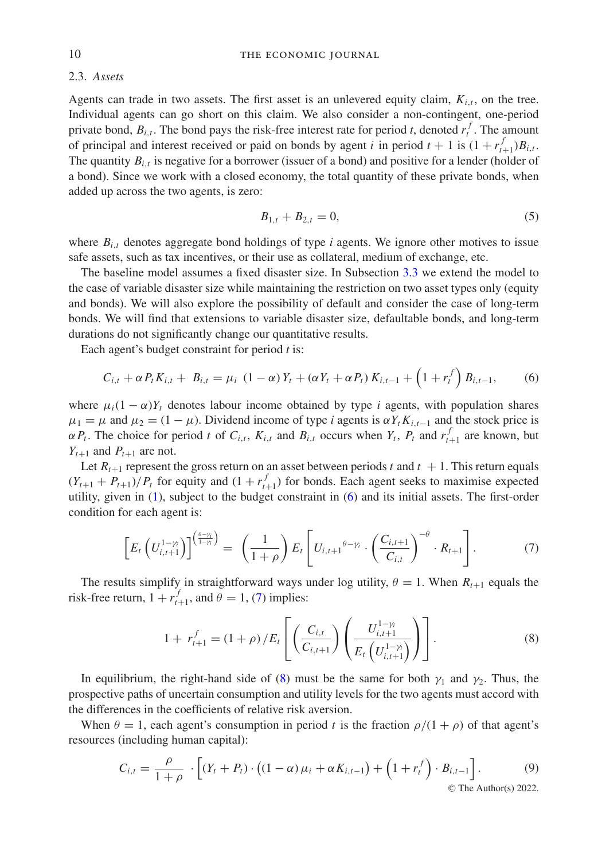#### 2.3. *Assets*

Agents can trade in two assets. The first asset is an unlevered equity claim,  $K_{i,t}$ , on the tree. Individual agents can go short on this claim. We also consider a non-contingent, one-period private bond,  $B_{i,t}$ . The bond pays the risk-free interest rate for period *t*, denoted  $r_t^f$ . The amount of principal and interest received or paid on bonds by agent *i* in period  $t + 1$  is  $(1 + r_{t+1}^f)B_{i,t}$ . The quantity *Bi*,*<sup>t</sup>* is negative for a borrower (issuer of a bond) and positive for a lender (holder of a bond). Since we work with a closed economy, the total quantity of these private bonds, when added up across the two agents, is zero:

<span id="page-9-4"></span><span id="page-9-0"></span>
$$
B_{1,t} + B_{2,t} = 0,\t\t(5)
$$

where  $B_{i,t}$  denotes aggregate bond holdings of type *i* agents. We ignore other motives to issue safe assets, such as tax incentives, or their use as collateral, medium of exchange, etc.

The baseline model assumes a fixed disaster size. In Subsection [3.3](#page-17-0) we extend the model to the case of variable disaster size while maintaining the restriction on two asset types only (equity and bonds). We will also explore the possibility of default and consider the case of long-term bonds. We will find that extensions to variable disaster size, defaultable bonds, and long-term durations do not significantly change our quantitative results.

Each agent's budget constraint for period *t* is:

$$
C_{i,t} + \alpha P_t K_{i,t} + B_{i,t} = \mu_i (1 - \alpha) Y_t + (\alpha Y_t + \alpha P_t) K_{i,t-1} + (1 + r_t^f) B_{i,t-1},
$$
 (6)

where  $\mu_i(1-\alpha)Y_t$  denotes labour income obtained by type *i* agents, with population shares  $\mu_1 = \mu$  and  $\mu_2 = (1 - \mu)$ . Dividend income of type *i* agents is  $\alpha Y_t K_{i,t-1}$  and the stock price is  $\alpha P_t$ . The choice for period *t* of  $C_{i,t}$ ,  $K_{i,t}$  and  $B_{i,t}$  occurs when  $Y_t$ ,  $P_t$  and  $r_{t+1}^f$  are known, but  $Y_{t+1}$  and  $P_{t+1}$  are not.

Let  $R_{t+1}$  represent the gross return on an asset between periods t and  $t + 1$ . This return equals  $(Y_{t+1} + P_{t+1})/P_t$  for equity and  $(1 + r_{t+1}^f)$  for bonds. Each agent seeks to maximise expected utility, given in [\(1\)](#page-7-2), subject to the budget constraint in [\(6\)](#page-9-0) and its initial assets. The first-order condition for each agent is:

$$
\left[E_t\left(U_{i,t+1}^{1-\gamma_i}\right)\right]^{\left(\frac{\theta-\gamma_i}{1-\gamma_i}\right)} = \left(\frac{1}{1+\rho}\right)E_t\left[U_{i,t+1}^{\theta-\gamma_i}\cdot\left(\frac{C_{i,t+1}}{C_{i,t}}\right)^{-\theta}\cdot R_{t+1}\right].\tag{7}
$$

The results simplify in straightforward ways under log utility,  $\theta = 1$ . When  $R_{t+1}$  equals the risk-free return,  $1 + r_{t+1}^f$ , and  $\theta = 1$ , [\(7\)](#page-9-1) implies:

<span id="page-9-3"></span><span id="page-9-2"></span><span id="page-9-1"></span>
$$
1 + r_{t+1}^f = (1 + \rho) / E_t \left[ \left( \frac{C_{i,t}}{C_{i,t+1}} \right) \left( \frac{U_{i,t+1}^{1-\gamma_i}}{E_t \left( U_{i,t+1}^{1-\gamma_i} \right)} \right) \right].
$$
 (8)

In equilibrium, the right-hand side of [\(8\)](#page-9-2) must be the same for both  $\gamma_1$  and  $\gamma_2$ . Thus, the prospective paths of uncertain consumption and utility levels for the two agents must accord with the differences in the coefficients of relative risk aversion.

When  $\theta = 1$ , each agent's consumption in period t is the fraction  $\rho/(1 + \rho)$  of that agent's resources (including human capital):

$$
C_{i,t} = \frac{\rho}{1+\rho} \cdot \left[ (Y_t + P_t) \cdot \left( (1-\alpha)\mu_i + \alpha K_{i,t-1} \right) + \left( 1 + r_t^f \right) \cdot B_{i,t-1} \right].
$$
 (9)  
© The Author(s) 2022.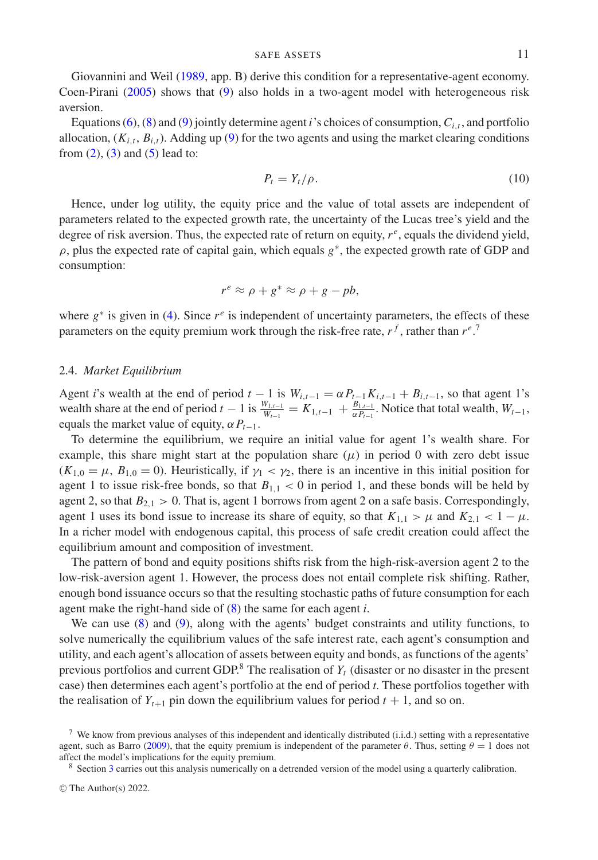Giovannini and Weil [\(1989,](#page-24-26) app. B) derive this condition for a representative-agent economy. Coen-Pirani [\(2005\)](#page-24-12) shows that [\(9\)](#page-9-3) also holds in a two-agent model with heterogeneous risk aversion.

Equations [\(6\)](#page-9-0), [\(8\)](#page-9-2) and [\(9\)](#page-9-3) jointly determine agent *i*'s choices of consumption,  $C_{i,t}$ , and portfolio allocation,  $(K_{i,t}, B_{i,t})$ . Adding up [\(9\)](#page-9-3) for the two agents and using the market clearing conditions from  $(2)$ ,  $(3)$  and  $(5)$  lead to:

<span id="page-10-0"></span>
$$
P_t = Y_t / \rho. \tag{10}
$$

Hence, under log utility, the equity price and the value of total assets are independent of parameters related to the expected growth rate, the uncertainty of the Lucas tree's yield and the degree of risk aversion. Thus, the expected rate of return on equity,  $r^e$ , equals the dividend yield,  $\rho$ , plus the expected rate of capital gain, which equals  $g^*$ , the expected growth rate of GDP and consumption:

$$
r^e \approx \rho + g^* \approx \rho + g - pb,
$$

where  $g^*$  is given in [\(4\)](#page-8-2). Since  $r^e$  is independent of uncertainty parameters, the effects of these parameters on the equity premium work through the risk-free rate,  $r<sup>f</sup>$ , rather than  $r<sup>e</sup>$ .<sup>7</sup>

#### 2.4. *Market Equilibrium*

Agent *i*'s wealth at the end of period  $t - 1$  is  $W_{i,t-1} = \alpha P_{t-1} K_{i,t-1} + B_{i,t-1}$ , so that agent 1's wealth share at the end of period  $t - 1$  is  $\frac{W_{1,t-1}}{W_{t-1}} = K_{1,t-1} + \frac{B_{1,t-1}}{\alpha P_{t-1}}$ . Notice that total wealth,  $W_{t-1}$ , equals the market value of equity,  $\alpha P_{t-1}$ .

To determine the equilibrium, we require an initial value for agent 1's wealth share. For example, this share might start at the population share  $(\mu)$  in period 0 with zero debt issue  $(K_{1,0} = \mu, B_{1,0} = 0)$ . Heuristically, if  $\gamma_1 < \gamma_2$ , there is an incentive in this initial position for agent 1 to issue risk-free bonds, so that  $B_{1,1} < 0$  in period 1, and these bonds will be held by agent 2, so that  $B_{2,1} > 0$ . That is, agent 1 borrows from agent 2 on a safe basis. Correspondingly, agent 1 uses its bond issue to increase its share of equity, so that  $K_{1,1} > \mu$  and  $K_{2,1} < 1 - \mu$ . In a richer model with endogenous capital, this process of safe credit creation could affect the equilibrium amount and composition of investment.

The pattern of bond and equity positions shifts risk from the high-risk-aversion agent 2 to the low-risk-aversion agent 1. However, the process does not entail complete risk shifting. Rather, enough bond issuance occurs so that the resulting stochastic paths of future consumption for each agent make the right-hand side of [\(8\)](#page-9-2) the same for each agent *i*.

We can use [\(8\)](#page-9-2) and [\(9\)](#page-9-3), along with the agents' budget constraints and utility functions, to solve numerically the equilibrium values of the safe interest rate, each agent's consumption and utility, and each agent's allocation of assets between equity and bonds, as functions of the agents' previous portfolios and current GDP. $8$  The realisation of  $Y_t$  (disaster or no disaster in the present case) then determines each agent's portfolio at the end of period *t*. These portfolios together with the realisation of  $Y_{t+1}$  pin down the equilibrium values for period  $t + 1$ , and so on.

 $7$  We know from previous analyses of this independent and identically distributed (i.i.d.) setting with a representative agent, such as Barro [\(2009\)](#page-24-9), that the equity premium is independent of the parameter  $\theta$ . Thus, setting  $\theta = 1$  does not affect the model's implications for the equity premium.

<sup>8</sup> Section [3](#page-13-0) carries out this analysis numerically on a detrended version of the model using a quarterly calibration.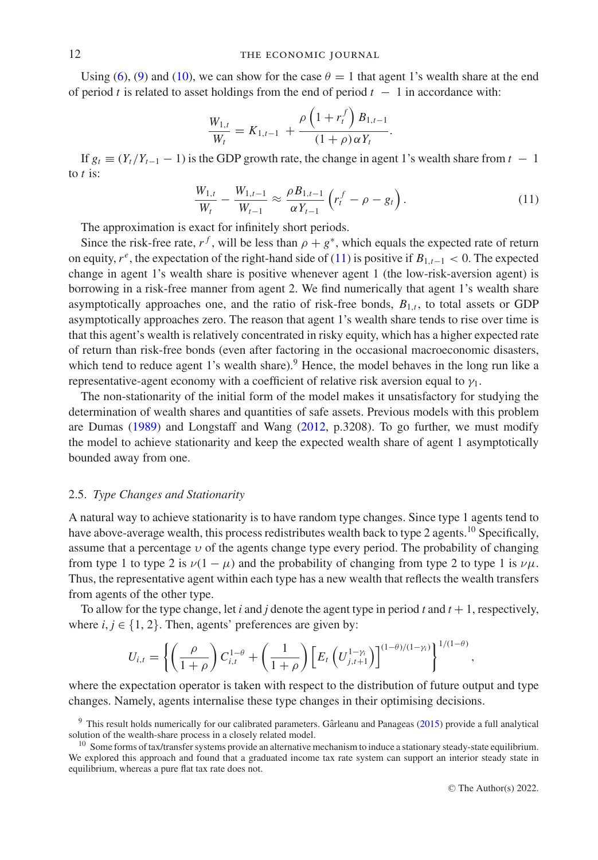Using [\(6\)](#page-9-0), [\(9\)](#page-9-3) and [\(10\)](#page-10-0), we can show for the case  $\theta = 1$  that agent 1's wealth share at the end of period *t* is related to asset holdings from the end of period  $t - 1$  in accordance with:

$$
\frac{W_{1,t}}{W_t} = K_{1,t-1} + \frac{\rho \left(1 + r_t^f\right) B_{1,t-1}}{(1 + \rho) \alpha Y_t}.
$$

If  $g_t \equiv (Y_t/Y_{t-1} - 1)$  is the GDP growth rate, the change in agent 1's wealth share from  $t - 1$ to *t* is:

<span id="page-11-0"></span>
$$
\frac{W_{1,t}}{W_t} - \frac{W_{1,t-1}}{W_{t-1}} \approx \frac{\rho B_{1,t-1}}{\alpha Y_{t-1}} \left( r_t^f - \rho - g_t \right). \tag{11}
$$

The approximation is exact for infinitely short periods.

Since the risk-free rate,  $r^f$ , will be less than  $\rho + g^*$ , which equals the expected rate of return on equity,  $r^e$ , the expectation of the right-hand side of [\(11\)](#page-11-0) is positive if  $B_{1,t-1} < 0$ . The expected change in agent 1's wealth share is positive whenever agent 1 (the low-risk-aversion agent) is borrowing in a risk-free manner from agent 2. We find numerically that agent 1's wealth share asymptotically approaches one, and the ratio of risk-free bonds,  $B_{1,t}$ , to total assets or GDP asymptotically approaches zero. The reason that agent 1's wealth share tends to rise over time is that this agent's wealth is relatively concentrated in risky equity, which has a higher expected rate of return than risk-free bonds (even after factoring in the occasional macroeconomic disasters, which tend to reduce agent 1's wealth share).<sup>9</sup> Hence, the model behaves in the long run like a representative-agent economy with a coefficient of relative risk aversion equal to  $\gamma_1$ .

The non-stationarity of the initial form of the model makes it unsatisfactory for studying the determination of wealth shares and quantities of safe assets. Previous models with this problem are Dumas [\(1989\)](#page-24-10) and Longstaff and Wang [\(2012,](#page-25-7) p.3208). To go further, we must modify the model to achieve stationarity and keep the expected wealth share of agent 1 asymptotically bounded away from one.

#### 2.5. *Type Changes and Stationarity*

A natural way to achieve stationarity is to have random type changes. Since type 1 agents tend to have above-average wealth, this process redistributes wealth back to type 2 agents.<sup>10</sup> Specifically, assume that a percentage  $v$  of the agents change type every period. The probability of changing from type 1 to type 2 is  $\nu(1 - \mu)$  and the probability of changing from type 2 to type 1 is  $\nu\mu$ . Thus, the representative agent within each type has a new wealth that reflects the wealth transfers from agents of the other type.

To allow for the type change, let *i* and *j* denote the agent type in period *t* and  $t + 1$ , respectively, where  $i, j \in \{1, 2\}$ . Then, agents' preferences are given by:

$$
U_{i,t} = \left\{ \left( \frac{\rho}{1+\rho} \right) C_{i,t}^{1-\theta} + \left( \frac{1}{1+\rho} \right) \left[ E_t \left( U_{j,t+1}^{1-\gamma_i} \right) \right]^{(1-\theta)/(1-\gamma_i)} \right\}^{1/(1-\theta)},
$$

where the expectation operator is taken with respect to the distribution of future output and type changes. Namely, agents internalise these type changes in their optimising decisions.

<sup>&</sup>lt;sup>9</sup> This result holds numerically for our calibrated parameters. Gârleanu and Panageas ([2015\)](#page-24-15) provide a full analytical solution of the wealth-share process in a closely related model.

 $10$  Some forms of tax/transfer systems provide an alternative mechanism to induce a stationary steady-state equilibrium. We explored this approach and found that a graduated income tax rate system can support an interior steady state in equilibrium, whereas a pure flat tax rate does not.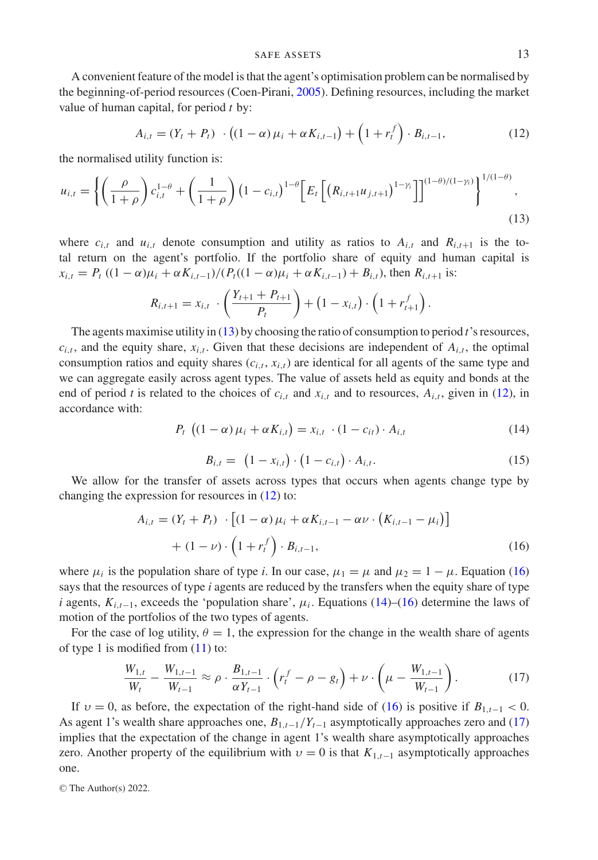A convenient feature of the model is that the agent's optimisation problem can be normalised by the beginning-of-period resources (Coen-Pirani, [2005\)](#page-24-12). Defining resources, including the market value of human capital, for period *t* by:

<span id="page-12-1"></span>
$$
A_{i,t} = (Y_t + P_t) \cdot ((1 - \alpha)\mu_i + \alpha K_{i,t-1}) + (1 + r_t^f) \cdot B_{i,t-1},
$$
\n(12)

the normalised utility function is:

$$
u_{i,t} = \left\{ \left( \frac{\rho}{1+\rho} \right) c_{i,t}^{1-\theta} + \left( \frac{1}{1+\rho} \right) \left( 1 - c_{i,t} \right)^{1-\theta} \left[ E_t \left[ \left( R_{i,t+1} u_{j,t+1} \right)^{1-\gamma_i} \right] \right]^{(1-\theta)/(1-\gamma_i)} \right\}^{1/(1-\theta)},
$$
\n(13)

where  $c_{i,t}$  and  $u_{i,t}$  denote consumption and utility as ratios to  $A_{i,t}$  and  $R_{i,t+1}$  is the total return on the agent's portfolio. If the portfolio share of equity and human capital is  $x_{i,t} = P_t ((1 - \alpha)\mu_i + \alpha K_{i,t-1})/(P_t((1 - \alpha)\mu_i + \alpha K_{i,t-1}) + B_{i,t})$ , then  $R_{i,t+1}$  is:

<span id="page-12-0"></span>
$$
R_{i,t+1} = x_{i,t} \cdot \left( \frac{Y_{t+1} + P_{t+1}}{P_t} \right) + (1 - x_{i,t}) \cdot \left( 1 + r_{t+1}^f \right).
$$

The agents maximise utility in [\(13\)](#page-12-0) by choosing the ratio of consumption to period *t*'s resources,  $c_{i,t}$ , and the equity share,  $x_{i,t}$ . Given that these decisions are independent of  $A_{i,t}$ , the optimal consumption ratios and equity shares  $(c_{i,t}, x_{i,t})$  are identical for all agents of the same type and we can aggregate easily across agent types. The value of assets held as equity and bonds at the end of period *t* is related to the choices of  $c_{i,t}$  and  $x_{i,t}$  and to resources,  $A_{i,t}$ , given in [\(12\)](#page-12-1), in accordance with:

$$
P_{t} \left( (1 - \alpha) \mu_{i} + \alpha K_{i,t} \right) = x_{i,t} \cdot (1 - c_{it}) \cdot A_{i,t} \tag{14}
$$

<span id="page-12-4"></span><span id="page-12-3"></span><span id="page-12-2"></span>
$$
B_{i,t} = (1 - x_{i,t}) \cdot (1 - c_{i,t}) \cdot A_{i,t}.
$$
 (15)

We allow for the transfer of assets across types that occurs when agents change type by changing the expression for resources in [\(12\)](#page-12-1) to:

$$
A_{i,t} = (Y_t + P_t) \cdot [(1 - \alpha)\mu_i + \alpha K_{i,t-1} - \alpha \nu \cdot (K_{i,t-1} - \mu_i)] + (1 - \nu) \cdot (1 + r_t^f) \cdot B_{i,t-1},
$$
\n(16)

where  $\mu_i$  is the population share of type *i*. In our case,  $\mu_1 = \mu$  and  $\mu_2 = 1 - \mu$ . Equation [\(16\)](#page-12-2) says that the resources of type *i* agents are reduced by the transfers when the equity share of type *i* agents,  $K_{i,t-1}$ , exceeds the 'population share',  $\mu_i$ . Equations [\(14\)](#page-12-3)–[\(16\)](#page-12-2) determine the laws of motion of the portfolios of the two types of agents.

For the case of log utility,  $\theta = 1$ , the expression for the change in the wealth share of agents of type 1 is modified from  $(11)$  to:

$$
\frac{W_{1,t}}{W_t} - \frac{W_{1,t-1}}{W_{t-1}} \approx \rho \cdot \frac{B_{1,t-1}}{\alpha Y_{t-1}} \cdot \left( r_t^f - \rho - g_t \right) + \nu \cdot \left( \mu - \frac{W_{1,t-1}}{W_{t-1}} \right). \tag{17}
$$

If  $v = 0$ , as before, the expectation of the right-hand side of [\(16\)](#page-12-2) is positive if  $B_{1,t-1} < 0$ . As agent 1's wealth share approaches one, *B*<sup>1</sup>,*t*−<sup>1</sup>/*Yt*−<sup>1</sup> asymptotically approaches zero and [\(17\)](#page-12-4) implies that the expectation of the change in agent 1's wealth share asymptotically approaches zero. Another property of the equilibrium with  $v = 0$  is that  $K_{1,t-1}$  asymptotically approaches one.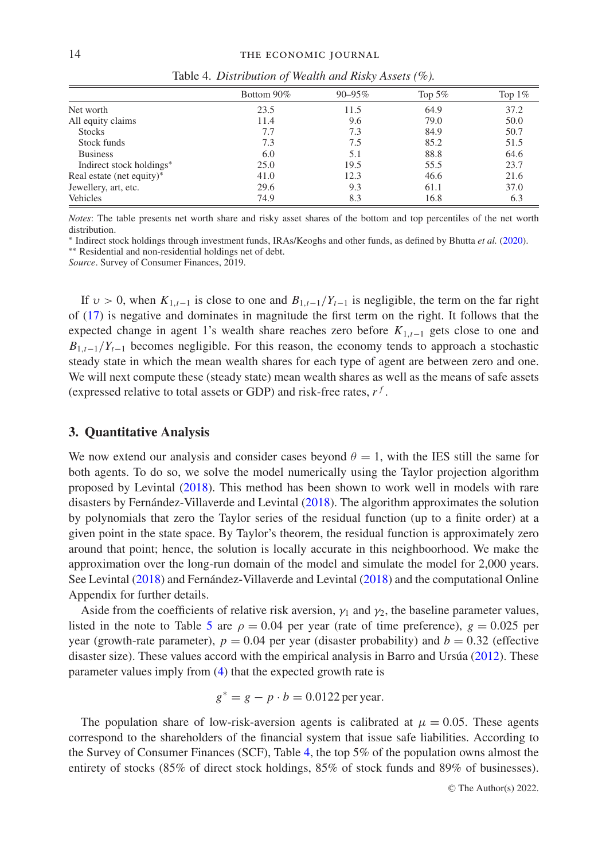<span id="page-13-1"></span>

|                           | Bottom 90% | $90 - 95\%$ | Top $5\%$ | Top $1\%$ |
|---------------------------|------------|-------------|-----------|-----------|
| Net worth                 | 23.5       | 11.5        | 64.9      | 37.2      |
| All equity claims         | 11.4       | 9.6         | 79.0      | 50.0      |
| <b>Stocks</b>             | 7.7        | 7.3         | 84.9      | 50.7      |
| Stock funds               | 7.3        | 7.5         | 85.2      | 51.5      |
| <b>Business</b>           | 6.0        | 5.1         | 88.8      | 64.6      |
| Indirect stock holdings*  | 25.0       | 19.5        | 55.5      | 23.7      |
| Real estate (net equity)* | 41.0       | 12.3        | 46.6      | 21.6      |
| Jewellery, art, etc.      | 29.6       | 9.3         | 61.1      | 37.0      |
| Vehicles                  | 74.9       | 8.3         | 16.8      | 6.3       |

Table 4. *Distribution of Wealth and Risky Assets (%).*

*Notes*: The table presents net worth share and risky asset shares of the bottom and top percentiles of the net worth distribution.

∗ Indirect stock holdings through investment funds, IRAs/Keoghs and other funds, as defined by Bhutta *et al.* [\(2020\)](#page-24-27).

∗∗ Residential and non-residential holdings net of debt.

*Source*. Survey of Consumer Finances, 2019.

If  $v > 0$ , when  $K_{1,t-1}$  is close to one and  $B_{1,t-1}/Y_{t-1}$  is negligible, the term on the far right of [\(17\)](#page-12-4) is negative and dominates in magnitude the first term on the right. It follows that the expected change in agent 1's wealth share reaches zero before *K*1,*t*−<sup>1</sup> gets close to one and  $B_{1,t-1}/Y_{t-1}$  becomes negligible. For this reason, the economy tends to approach a stochastic steady state in which the mean wealth shares for each type of agent are between zero and one. We will next compute these (steady state) mean wealth shares as well as the means of safe assets (expressed relative to total assets or GDP) and risk-free rates,  $r<sup>f</sup>$ .

## <span id="page-13-0"></span>**3. Quantitative Analysis**

We now extend our analysis and consider cases beyond  $\theta = 1$ , with the IES still the same for both agents. To do so, we solve the model numerically using the Taylor projection algorithm proposed by Levintal [\(2018\)](#page-25-11). This method has been shown to work well in models with rare disasters by Fernández-Villaverde and Levintal  $(2018)$  $(2018)$ . The algorithm approximates the solution by polynomials that zero the Taylor series of the residual function (up to a finite order) at a given point in the state space. By Taylor's theorem, the residual function is approximately zero around that point; hence, the solution is locally accurate in this neighboorhood. We make the approximation over the long-run domain of the model and simulate the model for 2,000 years. See Levintal [\(2018\)](#page-25-11) and Fernández-Villaverde and Levintal ([2018\)](#page-24-28) and the computational Online Appendix for further details.

Aside from the coefficients of relative risk aversion,  $\gamma_1$  and  $\gamma_2$ , the baseline parameter values, listed in the note to Table [5](#page-15-0) are  $\rho = 0.04$  per year (rate of time preference),  $g = 0.025$  per year (growth-rate parameter),  $p = 0.04$  per year (disaster probability) and  $b = 0.32$  (effective disaster size). These values accord with the empirical analysis in Barro and Ursúa  $(2012)$  $(2012)$ . These parameter values imply from [\(4\)](#page-8-2) that the expected growth rate is

$$
g^* = g - p \cdot b = 0.0122 \,\text{per year}.
$$

The population share of low-risk-aversion agents is calibrated at  $\mu = 0.05$ . These agents correspond to the shareholders of the financial system that issue safe liabilities. According to the Survey of Consumer Finances (SCF), Table [4,](#page-13-1) the top 5% of the population owns almost the entirety of stocks (85% of direct stock holdings, 85% of stock funds and 89% of businesses).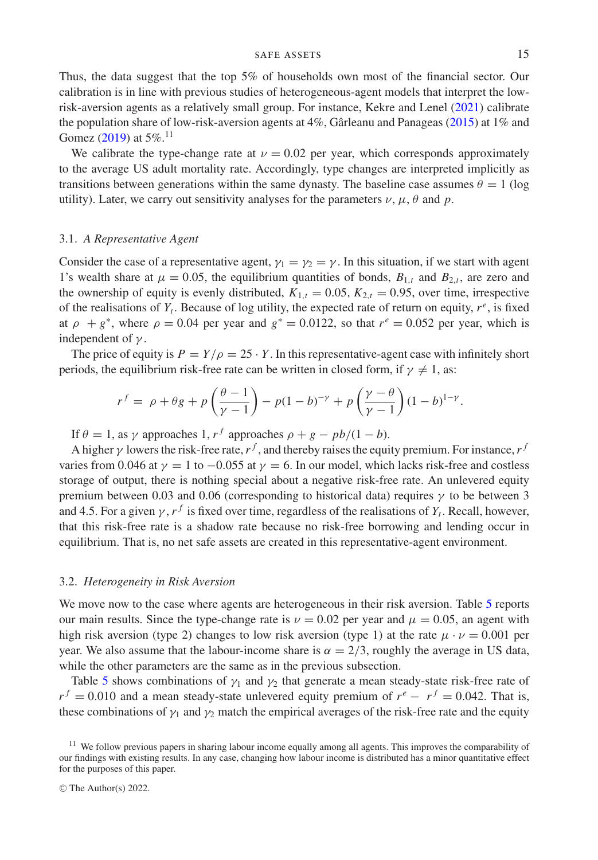Thus, the data suggest that the top 5% of households own most of the financial sector. Our calibration is in line with previous studies of heterogeneous-agent models that interpret the lowrisk-aversion agents as a relatively small group. For instance, Kekre and Lenel [\(2021\)](#page-25-12) calibrate the population share of low-risk-aversion agents at  $4\%$ , Gârleanu and Panageas ([2015\)](#page-24-15) at  $1\%$  and Gomez [\(2019\)](#page-24-17) at 5%.<sup>11</sup>

We calibrate the type-change rate at  $\nu = 0.02$  per year, which corresponds approximately to the average US adult mortality rate. Accordingly, type changes are interpreted implicitly as transitions between generations within the same dynasty. The baseline case assumes  $\theta = 1$  (log utility). Later, we carry out sensitivity analyses for the parameters  $\nu$ ,  $\mu$ ,  $\theta$  and  $p$ .

### 3.1. *A Representative Agent*

Consider the case of a representative agent,  $\gamma_1 = \gamma_2 = \gamma$ . In this situation, if we start with agent 1's wealth share at  $\mu = 0.05$ , the equilibrium quantities of bonds,  $B_{1,t}$  and  $B_{2,t}$ , are zero and the ownership of equity is evenly distributed,  $K_{1,t} = 0.05$ ,  $K_{2,t} = 0.95$ , over time, irrespective of the realisations of  $Y_t$ . Because of log utility, the expected rate of return on equity,  $r^e$ , is fixed at  $\rho + g^*$ , where  $\rho = 0.04$  per year and  $g^* = 0.0122$ , so that  $r^e = 0.052$  per year, which is independent of  $\gamma$ .

The price of equity is  $P = Y/\rho = 25 \cdot Y$ . In this representative-agent case with infinitely short periods, the equilibrium risk-free rate can be written in closed form, if  $\gamma \neq 1$ , as:

$$
r^f = \rho + \theta g + p \left( \frac{\theta - 1}{\gamma - 1} \right) - p(1 - b)^{-\gamma} + p \left( \frac{\gamma - \theta}{\gamma - 1} \right) (1 - b)^{1 - \gamma}.
$$

If  $\theta = 1$ , as  $\gamma$  approaches 1,  $r^f$  approaches  $\rho + g - pb/(1 - b)$ .

A higher  $\gamma$  lowers the risk-free rate,  $r^f$ , and thereby raises the equity premium. For instance,  $r^f$ varies from 0.046 at  $\gamma = 1$  to  $-0.055$  at  $\gamma = 6$ . In our model, which lacks risk-free and costless storage of output, there is nothing special about a negative risk-free rate. An unlevered equity premium between 0.03 and 0.06 (corresponding to historical data) requires  $\gamma$  to be between 3 and 4.5. For a given  $\gamma$ ,  $r^f$  is fixed over time, regardless of the realisations of  $Y_t$ . Recall, however, that this risk-free rate is a shadow rate because no risk-free borrowing and lending occur in equilibrium. That is, no net safe assets are created in this representative-agent environment.

#### 3.2. *Heterogeneity in Risk Aversion*

We move now to the case where agents are heterogeneous in their risk aversion. Table [5](#page-15-0) reports our main results. Since the type-change rate is  $\nu = 0.02$  per year and  $\mu = 0.05$ , an agent with high risk aversion (type 2) changes to low risk aversion (type 1) at the rate  $\mu \cdot \nu = 0.001$  per year. We also assume that the labour-income share is  $\alpha = 2/3$ , roughly the average in US data, while the other parameters are the same as in the previous subsection.

Table [5](#page-15-0) shows combinations of  $\gamma_1$  and  $\gamma_2$  that generate a mean steady-state risk-free rate of  $r^f = 0.010$  and a mean steady-state unlevered equity premium of  $r^e - r^f = 0.042$ . That is, these combinations of  $\gamma_1$  and  $\gamma_2$  match the empirical averages of the risk-free rate and the equity

<sup>&</sup>lt;sup>11</sup> We follow previous papers in sharing labour income equally among all agents. This improves the comparability of our findings with existing results. In any case, changing how labour income is distributed has a minor quantitative effect for the purposes of this paper.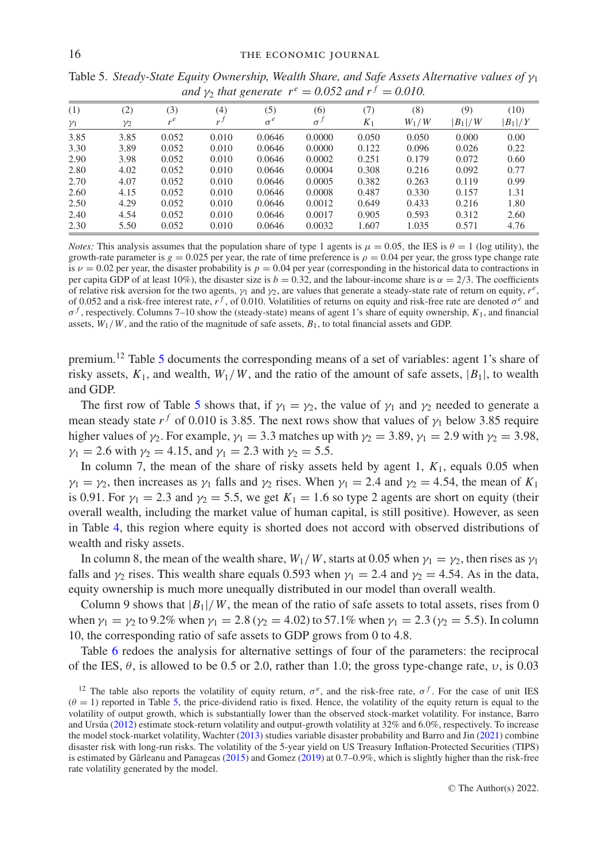| (1)        | (2)        | (3)   | (4)            | (5)        | (6)      | (7)   | (8)     | (9)       | (10)      |
|------------|------------|-------|----------------|------------|----------|-------|---------|-----------|-----------|
| $\gamma_1$ | $\gamma_2$ | $r^e$ | r <sup>J</sup> | $\sigma^e$ | $\sigma$ | $K_1$ | $W_1/W$ | $ B_1 /W$ | $ B_1 /Y$ |
| 3.85       | 3.85       | 0.052 | 0.010          | 0.0646     | 0.0000   | 0.050 | 0.050   | 0.000     | 0.00      |
| 3.30       | 3.89       | 0.052 | 0.010          | 0.0646     | 0.0000   | 0.122 | 0.096   | 0.026     | 0.22      |
| 2.90       | 3.98       | 0.052 | 0.010          | 0.0646     | 0.0002   | 0.251 | 0.179   | 0.072     | 0.60      |
| 2.80       | 4.02       | 0.052 | 0.010          | 0.0646     | 0.0004   | 0.308 | 0.216   | 0.092     | 0.77      |
| 2.70       | 4.07       | 0.052 | 0.010          | 0.0646     | 0.0005   | 0.382 | 0.263   | 0.119     | 0.99      |
| 2.60       | 4.15       | 0.052 | 0.010          | 0.0646     | 0.0008   | 0.487 | 0.330   | 0.157     | 1.31      |
| 2.50       | 4.29       | 0.052 | 0.010          | 0.0646     | 0.0012   | 0.649 | 0.433   | 0.216     | 1.80      |
| 2.40       | 4.54       | 0.052 | 0.010          | 0.0646     | 0.0017   | 0.905 | 0.593   | 0.312     | 2.60      |
| 2.30       | 5.50       | 0.052 | 0.010          | 0.0646     | 0.0032   | 1.607 | 1.035   | 0.571     | 4.76      |

<span id="page-15-0"></span>Table 5. *Steady-State Equity Ownership, Wealth Share, and Safe Assets Alternative values of* γ<sup>1</sup> *and*  $\nu$ <sub>2</sub> *that generate*  $r^e = 0.052$  *and*  $r^f = 0.010$ .

*Notes:* This analysis assumes that the population share of type 1 agents is  $\mu = 0.05$ , the IES is  $\theta = 1$  (log utility), the growth-rate parameter is  $g = 0.025$  per year, the rate of time preference is  $\rho = 0.04$  per year, the gross type change rate is  $\nu = 0.02$  per year, the disaster probability is  $p = 0.04$  per year (corresponding in the historical data to contractions in per capita GDP of at least 10%), the disaster size is  $b = 0.32$ , and the labour-income share is  $\alpha = 2/3$ . The coefficients of relative risk aversion for the two agents,  $\gamma_1$  and  $\gamma_2$ , are values that generate a steady-state rate of return on equity,  $r^e$ , of 0.052 and a risk-free interest rate,  $r^f$ , of 0.010. Volatilities of returns on equity and risk-free rate are denoted  $\sigma^e$  and σ *<sup>f</sup>* , respectively. Columns 7–10 show the (steady-state) means of agent 1's share of equity ownership, *K*1, and financial assets,  $W_1/W$ , and the ratio of the magnitude of safe assets,  $B_1$ , to total financial assets and GDP.

premium.<sup>12</sup> Table [5](#page-15-0) documents the corresponding means of a set of variables: agent 1's share of risky assets,  $K_1$ , and wealth,  $W_1/W$ , and the ratio of the amount of safe assets,  $|B_1|$ , to wealth and GDP.

The first row of Table [5](#page-15-0) shows that, if  $\gamma_1 = \gamma_2$ , the value of  $\gamma_1$  and  $\gamma_2$  needed to generate a mean steady state  $r^f$  of 0.010 is 3.85. The next rows show that values of  $\gamma_1$  below 3.85 require higher values of  $\gamma_2$ . For example,  $\gamma_1 = 3.3$  matches up with  $\gamma_2 = 3.89$ ,  $\gamma_1 = 2.9$  with  $\gamma_2 = 3.98$ ,  $\gamma_1 = 2.6$  with  $\gamma_2 = 4.15$ , and  $\gamma_1 = 2.3$  with  $\gamma_2 = 5.5$ .

In column 7, the mean of the share of risky assets held by agent 1, *K*1, equals 0.05 when  $\gamma_1 = \gamma_2$ , then increases as  $\gamma_1$  falls and  $\gamma_2$  rises. When  $\gamma_1 = 2.4$  and  $\gamma_2 = 4.54$ , the mean of  $K_1$ is 0.91. For  $\gamma_1 = 2.3$  and  $\gamma_2 = 5.5$ , we get  $K_1 = 1.6$  so type 2 agents are short on equity (their overall wealth, including the market value of human capital, is still positive). However, as seen in Table [4,](#page-13-1) this region where equity is shorted does not accord with observed distributions of wealth and risky assets.

In column 8, the mean of the wealth share,  $W_1/W$ , starts at 0.05 when  $\gamma_1 = \gamma_2$ , then rises as  $\gamma_1$ falls and  $\gamma_2$  rises. This wealth share equals 0.593 when  $\gamma_1 = 2.4$  and  $\gamma_2 = 4.54$ . As in the data, equity ownership is much more unequally distributed in our model than overall wealth.

Column 9 shows that  $|B_1|/W$ , the mean of the ratio of safe assets to total assets, rises from 0 when  $\gamma_1 = \gamma_2$  to 9.2% when  $\gamma_1 = 2.8$  ( $\gamma_2 = 4.02$ ) to 57.1% when  $\gamma_1 = 2.3$  ( $\gamma_2 = 5.5$ ). In column 10, the corresponding ratio of safe assets to GDP grows from 0 to 4.8.

Table [6](#page-16-0) redoes the analysis for alternative settings of four of the parameters: the reciprocal of the IES,  $\theta$ , is allowed to be 0.5 or 2.0, rather than 1.0; the gross type-change rate,  $\upsilon$ , is 0.03

<sup>&</sup>lt;sup>12</sup> The table also reports the volatility of equity return,  $\sigma^e$ , and the risk-free rate,  $\sigma^f$ . For the case of unit IES  $(\theta = 1)$  reported in Table [5,](#page-15-0) the price-dividend ratio is fixed. Hence, the volatility of the equity return is equal to the volatility of output growth, which is substantially lower than the observed stock-market volatility. For instance, Barro and Ursúa ( $2012$ ) estimate stock-return volatility and output-growth volatility at  $32\%$  and  $6.0\%$ , respectively. To increase the model stock-market volatility, Wachter [\(2013\)](#page-25-13) studies variable disaster probability and Barro and Jin [\(2021\)](#page-24-24) combine disaster risk with long-run risks. The volatility of the 5-year yield on US Treasury Inflation-Protected Securities (TIPS) is estimated by Gârleanu and Panageas ( $2015$ ) and Gomez ( $2019$ ) at 0.7–0.9%, which is slightly higher than the risk-free rate volatility generated by the model.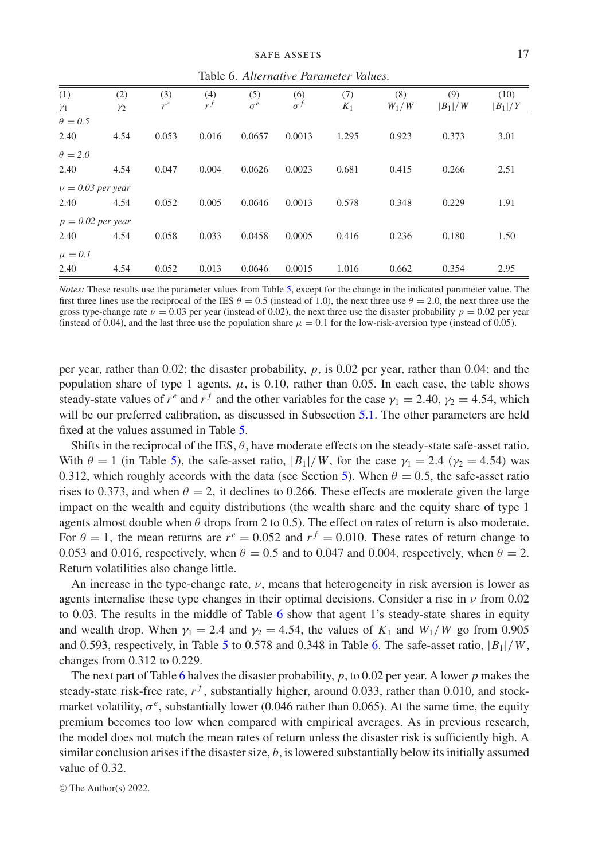Table 6. *Alternative Parameter Values.*

<span id="page-16-0"></span>

| (1)                   | (2)        | (3)   | (4)   | (5)        | (6)        | (7)   | (8)     | (9)       | (10)      |
|-----------------------|------------|-------|-------|------------|------------|-------|---------|-----------|-----------|
| $\gamma_1$            | $\gamma_2$ | $r^e$ | $r^f$ | $\sigma^e$ | $\sigma^f$ | $K_1$ | $W_1/W$ | $ B_1 /W$ | $ B_1 /Y$ |
| $\theta = 0.5$        |            |       |       |            |            |       |         |           |           |
| 2.40                  | 4.54       | 0.053 | 0.016 | 0.0657     | 0.0013     | 1.295 | 0.923   | 0.373     | 3.01      |
| $\theta = 2.0$        |            |       |       |            |            |       |         |           |           |
| 2.40                  | 4.54       | 0.047 | 0.004 | 0.0626     | 0.0023     | 0.681 | 0.415   | 0.266     | 2.51      |
| $\nu = 0.03$ per year |            |       |       |            |            |       |         |           |           |
| 2.40                  | 4.54       | 0.052 | 0.005 | 0.0646     | 0.0013     | 0.578 | 0.348   | 0.229     | 1.91      |
| $p = 0.02$ per year   |            |       |       |            |            |       |         |           |           |
| 2.40                  | 4.54       | 0.058 | 0.033 | 0.0458     | 0.0005     | 0.416 | 0.236   | 0.180     | 1.50      |
| $\mu = 0.1$           |            |       |       |            |            |       |         |           |           |
| 2.40                  | 4.54       | 0.052 | 0.013 | 0.0646     | 0.0015     | 1.016 | 0.662   | 0.354     | 2.95      |

*Notes:* These results use the parameter values from Table [5,](#page-15-0) except for the change in the indicated parameter value. The first three lines use the reciprocal of the IES  $\theta = 0.5$  (instead of 1.0), the next three use  $\theta = 2.0$ , the next three use the gross type-change rate  $\nu = 0.03$  per year (instead of 0.02), the next three use the disaster probability  $p = 0.02$  per year (instead of 0.04), and the last three use the population share  $\mu = 0.1$  for the low-risk-aversion type (instead of 0.05).

per year, rather than 0.02; the disaster probability, *p*, is 0.02 per year, rather than 0.04; and the population share of type 1 agents,  $\mu$ , is 0.10, rather than 0.05. In each case, the table shows steady-state values of  $r^e$  and  $r^f$  and the other variables for the case  $\gamma_1 = 2.40$ ,  $\gamma_2 = 4.54$ , which will be our preferred calibration, as discussed in Subsection [5.1.](#page-21-1) The other parameters are held fixed at the values assumed in Table [5.](#page-15-0)

Shifts in the reciprocal of the IES,  $\theta$ , have moderate effects on the steady-state safe-asset ratio. With  $\theta = 1$  (in Table [5\)](#page-15-0), the safe-asset ratio,  $|B_1|/W$ , for the case  $\gamma_1 = 2.4$  ( $\gamma_2 = 4.54$ ) was 0.312, which roughly accords with the data (see Section [5\)](#page-21-0). When  $\theta = 0.5$ , the safe-asset ratio rises to 0.373, and when  $\theta = 2$ , it declines to 0.266. These effects are moderate given the large impact on the wealth and equity distributions (the wealth share and the equity share of type 1 agents almost double when  $\theta$  drops from 2 to 0.5). The effect on rates of return is also moderate. For  $\theta = 1$ , the mean returns are  $r^e = 0.052$  and  $r^f = 0.010$ . These rates of return change to 0.053 and 0.016, respectively, when  $\theta = 0.5$  and to 0.047 and 0.004, respectively, when  $\theta = 2$ . Return volatilities also change little.

An increase in the type-change rate,  $\nu$ , means that heterogeneity in risk aversion is lower as agents internalise these type changes in their optimal decisions. Consider a rise in  $\nu$  from 0.02 to 0.03. The results in the middle of Table [6](#page-16-0) show that agent 1's steady-state shares in equity and wealth drop. When  $\gamma_1 = 2.4$  and  $\gamma_2 = 4.54$ , the values of  $K_1$  and  $W_1/W$  go from 0.905 and 0.593, respectively, in Table [5](#page-15-0) to 0.578 and 0.348 in Table [6.](#page-16-0) The safe-asset ratio, |*B*1|/*W*, changes from 0.312 to 0.229.

The next part of Table [6](#page-16-0) halves the disaster probability, *p*, to 0.02 per year. A lower *p* makes the steady-state risk-free rate,  $r^f$ , substantially higher, around 0.033, rather than 0.010, and stockmarket volatility,  $\sigma^e$ , substantially lower (0.046 rather than 0.065). At the same time, the equity premium becomes too low when compared with empirical averages. As in previous research, the model does not match the mean rates of return unless the disaster risk is sufficiently high. A similar conclusion arises if the disaster size, *b*, is lowered substantially below its initially assumed value of 0.32.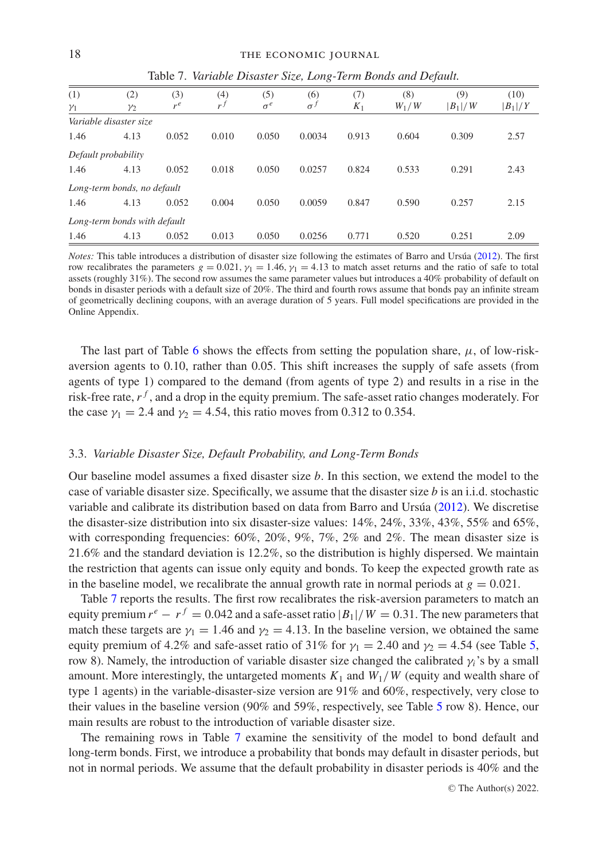<span id="page-17-1"></span>

| (1)                 | (2)                          | (3)   | (4)   | (5)        | (6)          | (7)   | (8)     | (9)       | (10)      |  |
|---------------------|------------------------------|-------|-------|------------|--------------|-------|---------|-----------|-----------|--|
| $\gamma_1$          | $\mathcal{V}2$               | $r^e$ | $r^f$ | $\sigma^e$ | $\sigma^{J}$ | $K_1$ | $W_1/W$ | $ B_1 /W$ | $ B_1 /Y$ |  |
|                     | Variable disaster size       |       |       |            |              |       |         |           |           |  |
| 1.46                | 4.13                         | 0.052 | 0.010 | 0.050      | 0.0034       | 0.913 | 0.604   | 0.309     | 2.57      |  |
| Default probability |                              |       |       |            |              |       |         |           |           |  |
| 1.46                | 4.13                         | 0.052 | 0.018 | 0.050      | 0.0257       | 0.824 | 0.533   | 0.291     | 2.43      |  |
|                     | Long-term bonds, no default  |       |       |            |              |       |         |           |           |  |
| 1.46                | 4.13                         | 0.052 | 0.004 | 0.050      | 0.0059       | 0.847 | 0.590   | 0.257     | 2.15      |  |
|                     | Long-term bonds with default |       |       |            |              |       |         |           |           |  |
| 1.46                | 4.13                         | 0.052 | 0.013 | 0.050      | 0.0256       | 0.771 | 0.520   | 0.251     | 2.09      |  |

Table 7. *Variable Disaster Size, Long-Term Bonds and Default.*

*Notes:* This table introduces a distribution of disaster size following the estimates of Barro and Ursúa ([2012\)](#page-24-29). The first row recalibrates the parameters *g* = 0.021,  $γ_1$  = 1.46,  $γ_1$  = 4.13 to match asset returns and the ratio of safe to total assets (roughly 31%). The second row assumes the same parameter values but introduces a 40% probability of default on bonds in disaster periods with a default size of 20%. The third and fourth rows assume that bonds pay an infinite stream of geometrically declining coupons, with an average duration of 5 years. Full model specifications are provided in the Online Appendix.

The last part of Table [6](#page-16-0) shows the effects from setting the population share,  $\mu$ , of low-riskaversion agents to 0.10, rather than 0.05. This shift increases the supply of safe assets (from agents of type 1) compared to the demand (from agents of type 2) and results in a rise in the risk-free rate,  $r<sup>f</sup>$ , and a drop in the equity premium. The safe-asset ratio changes moderately. For the case  $\gamma_1 = 2.4$  and  $\gamma_2 = 4.54$ , this ratio moves from 0.312 to 0.354.

## <span id="page-17-0"></span>3.3. *Variable Disaster Size, Default Probability, and Long-Term Bonds*

Our baseline model assumes a fixed disaster size *b*. In this section, we extend the model to the case of variable disaster size. Specifically, we assume that the disaster size *b* is an i.i.d. stochastic variable and calibrate its distribution based on data from Barro and Ursua  $(2012)$  $(2012)$ . We discretise the disaster-size distribution into six disaster-size values: 14%, 24%, 33%, 43%, 55% and 65%, with corresponding frequencies:  $60\%, 20\%, 9\%, 7\%, 2\%$  and  $2\%$ . The mean disaster size is 21.6% and the standard deviation is 12.2%, so the distribution is highly dispersed. We maintain the restriction that agents can issue only equity and bonds. To keep the expected growth rate as in the baseline model, we recalibrate the annual growth rate in normal periods at  $g = 0.021$ .

Table [7](#page-17-1) reports the results. The first row recalibrates the risk-aversion parameters to match an equity premium  $r^e - r^f = 0.042$  and a safe-asset ratio  $|B_1|/W = 0.31$ . The new parameters that match these targets are  $y_1 = 1.46$  and  $y_2 = 4.13$ . In the baseline version, we obtained the same equity premium of 4.2% and safe-asset ratio of 31% for  $y_1 = 2.40$  and  $y_2 = 4.54$  (see Table [5,](#page-15-0) row 8). Namely, the introduction of variable disaster size changed the calibrated γ*i*'s by a small amount. More interestingly, the untargeted moments  $K_1$  and  $W_1/W$  (equity and wealth share of type 1 agents) in the variable-disaster-size version are 91% and 60%, respectively, very close to their values in the baseline version (90% and 59%, respectively, see Table [5](#page-15-0) row 8). Hence, our main results are robust to the introduction of variable disaster size.

The remaining rows in Table [7](#page-17-1) examine the sensitivity of the model to bond default and long-term bonds. First, we introduce a probability that bonds may default in disaster periods, but not in normal periods. We assume that the default probability in disaster periods is 40% and the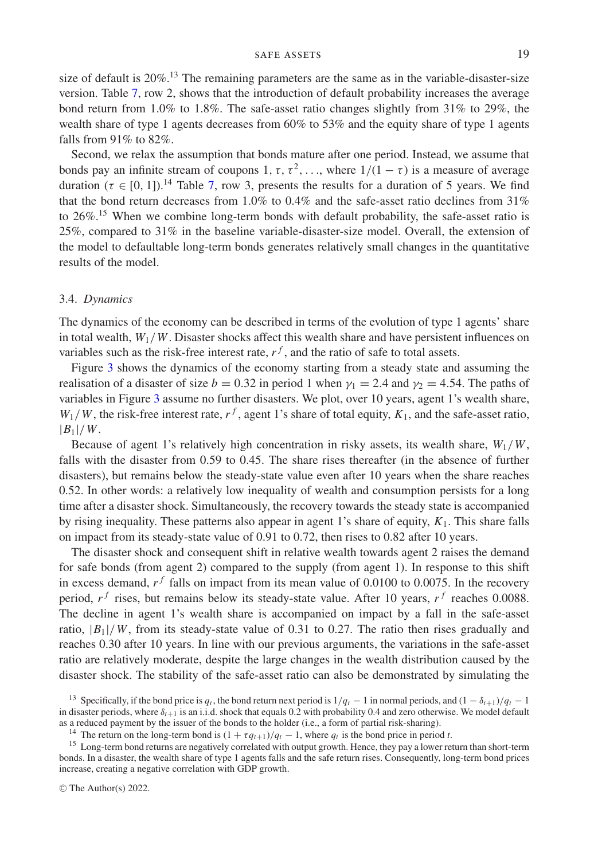size of default is  $20\%$ .<sup>13</sup> The remaining parameters are the same as in the variable-disaster-size version. Table [7,](#page-17-1) row 2, shows that the introduction of default probability increases the average bond return from 1.0% to 1.8%. The safe-asset ratio changes slightly from 31% to 29%, the wealth share of type 1 agents decreases from  $60\%$  to 53% and the equity share of type 1 agents falls from 91% to 82%.

Second, we relax the assumption that bonds mature after one period. Instead, we assume that bonds pay an infinite stream of coupons 1,  $\tau$ ,  $\tau^2$ ,..., where  $1/(1 - \tau)$  is a measure of average duration ( $\tau \in [0, 1]$ ).<sup>14</sup> Table [7,](#page-17-1) row 3, presents the results for a duration of 5 years. We find that the bond return decreases from 1.0% to 0.4% and the safe-asset ratio declines from 31% to 26%.15 When we combine long-term bonds with default probability, the safe-asset ratio is 25%, compared to 31% in the baseline variable-disaster-size model. Overall, the extension of the model to defaultable long-term bonds generates relatively small changes in the quantitative results of the model.

### 3.4. *Dynamics*

The dynamics of the economy can be described in terms of the evolution of type 1 agents' share in total wealth,  $W_1/W$ . Disaster shocks affect this wealth share and have persistent influences on variables such as the risk-free interest rate,  $r<sup>f</sup>$ , and the ratio of safe to total assets.

Figure [3](#page-19-1) shows the dynamics of the economy starting from a steady state and assuming the realisation of a disaster of size  $b = 0.32$  in period 1 when  $y_1 = 2.4$  and  $y_2 = 4.54$ . The paths of variables in Figure [3](#page-19-1) assume no further disasters. We plot, over 10 years, agent 1's wealth share,  $W_1/W$ , the risk-free interest rate,  $r^f$ , agent 1's share of total equity,  $K_1$ , and the safe-asset ratio, |*B*1|/*W*.

Because of agent 1's relatively high concentration in risky assets, its wealth share,  $W_1/W$ , falls with the disaster from 0.59 to 0.45. The share rises thereafter (in the absence of further disasters), but remains below the steady-state value even after 10 years when the share reaches 0.52. In other words: a relatively low inequality of wealth and consumption persists for a long time after a disaster shock. Simultaneously, the recovery towards the steady state is accompanied by rising inequality. These patterns also appear in agent 1's share of equity, *K*1. This share falls on impact from its steady-state value of 0.91 to 0.72, then rises to 0.82 after 10 years.

The disaster shock and consequent shift in relative wealth towards agent 2 raises the demand for safe bonds (from agent 2) compared to the supply (from agent 1). In response to this shift in excess demand,  $r<sup>f</sup>$  falls on impact from its mean value of 0.0100 to 0.0075. In the recovery period,  $r^f$  rises, but remains below its steady-state value. After 10 years,  $r^f$  reaches 0.0088. The decline in agent 1's wealth share is accompanied on impact by a fall in the safe-asset ratio,  $|B_1|/W$ , from its steady-state value of 0.31 to 0.27. The ratio then rises gradually and reaches 0.30 after 10 years. In line with our previous arguments, the variations in the safe-asset ratio are relatively moderate, despite the large changes in the wealth distribution caused by the disaster shock. The stability of the safe-asset ratio can also be demonstrated by simulating the

<sup>&</sup>lt;sup>13</sup> Specifically, if the bond price is  $q_t$ , the bond return next period is  $1/q_t - 1$  in normal periods, and  $(1 - \delta_{t+1})/q_t - 1$ in disaster periods, where δ*t*+<sup>1</sup> is an i.i.d. shock that equals 0.2 with probability 0.4 and zero otherwise. We model default as a reduced payment by the issuer of the bonds to the holder (i.e., a form of partial risk-sharing).<br><sup>14</sup> The return on the long-term bond is  $(1 + \tau q_{t+1})/q_t - 1$ , where  $q_t$  is the bond price in period *t*.

<sup>&</sup>lt;sup>15</sup> Long-term bond returns are negatively correlated with output growth. Hence, they pay a lower return than short-term bonds. In a disaster, the wealth share of type 1 agents falls and the safe return rises. Consequently, long-term bond prices increase, creating a negative correlation with GDP growth.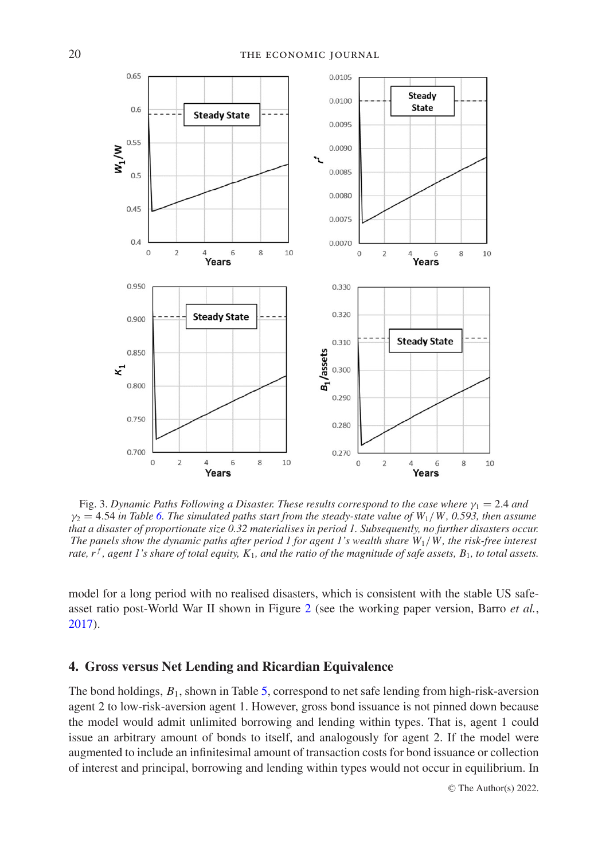<span id="page-19-1"></span>

Fig. 3. Dynamic Paths Following a Disaster. These results correspond to the case where  $\gamma_1 = 2.4$  and  $\gamma_2 = 4.54$  *in Table* [6.](#page-16-0) The simulated paths start from the steady-state value of  $W_1/W$ , 0.593, then assume *that a disaster of proportionate size 0.32 materialises in period 1. Subsequently, no further disasters occur. The panels show the dynamic paths after period 1 for agent 1's wealth share W*1/*W , the risk-free interest rate, r<sup>f</sup>, agent 1's share of total equity,*  $K_1$ *, and the ratio of the magnitude of safe assets, B*<sub>1</sub>*, to total assets.* 

model for a long period with no realised disasters, which is consistent with the stable US safeasset ratio post-World War II shown in Figure [2](#page-6-0) (see the working paper version, Barro *et al.*, [2017\)](#page-24-30).

## <span id="page-19-0"></span>**4. Gross versus Net Lending and Ricardian Equivalence**

The bond holdings, *B*1, shown in Table [5,](#page-15-0) correspond to net safe lending from high-risk-aversion agent 2 to low-risk-aversion agent 1. However, gross bond issuance is not pinned down because the model would admit unlimited borrowing and lending within types. That is, agent 1 could issue an arbitrary amount of bonds to itself, and analogously for agent 2. If the model were augmented to include an infinitesimal amount of transaction costs for bond issuance or collection of interest and principal, borrowing and lending within types would not occur in equilibrium. In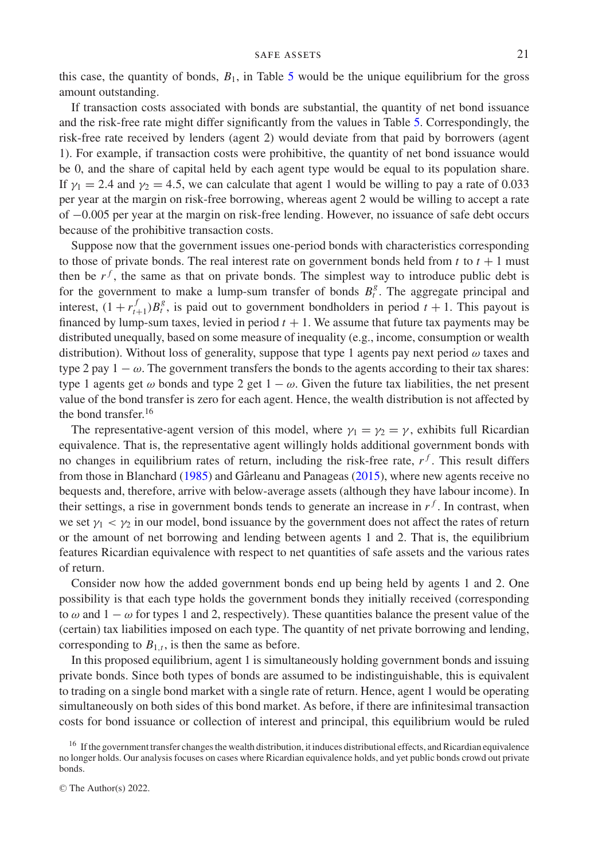this case, the quantity of bonds,  $B_1$ , in Table [5](#page-15-0) would be the unique equilibrium for the gross amount outstanding.

If transaction costs associated with bonds are substantial, the quantity of net bond issuance and the risk-free rate might differ significantly from the values in Table [5.](#page-15-0) Correspondingly, the risk-free rate received by lenders (agent 2) would deviate from that paid by borrowers (agent 1). For example, if transaction costs were prohibitive, the quantity of net bond issuance would be 0, and the share of capital held by each agent type would be equal to its population share. If  $\gamma_1 = 2.4$  and  $\gamma_2 = 4.5$ , we can calculate that agent 1 would be willing to pay a rate of 0.033 per year at the margin on risk-free borrowing, whereas agent 2 would be willing to accept a rate of −0.005 per year at the margin on risk-free lending. However, no issuance of safe debt occurs because of the prohibitive transaction costs.

Suppose now that the government issues one-period bonds with characteristics corresponding to those of private bonds. The real interest rate on government bonds held from  $t$  to  $t + 1$  must then be  $r<sup>f</sup>$ , the same as that on private bonds. The simplest way to introduce public debt is for the government to make a lump-sum transfer of bonds  $B_t^g$ . The aggregate principal and interest,  $(1 + r_{t+1}^f)B_t^g$ , is paid out to government bondholders in period  $t + 1$ . This payout is financed by lump-sum taxes, levied in period  $t + 1$ . We assume that future tax payments may be distributed unequally, based on some measure of inequality (e.g., income, consumption or wealth distribution). Without loss of generality, suppose that type 1 agents pay next period  $\omega$  taxes and type 2 pay  $1 - \omega$ . The government transfers the bonds to the agents according to their tax shares: type 1 agents get  $\omega$  bonds and type 2 get  $1 - \omega$ . Given the future tax liabilities, the net present value of the bond transfer is zero for each agent. Hence, the wealth distribution is not affected by the bond transfer.<sup>16</sup>

The representative-agent version of this model, where  $\gamma_1 = \gamma_2 = \gamma$ , exhibits full Ricardian equivalence. That is, the representative agent willingly holds additional government bonds with no changes in equilibrium rates of return, including the risk-free rate,  $r<sup>f</sup>$ . This result differs from those in Blanchard [\(1985\)](#page-24-31) and Gârleanu and Panageas ( $2015$ ), where new agents receive no bequests and, therefore, arrive with below-average assets (although they have labour income). In their settings, a rise in government bonds tends to generate an increase in  $r<sup>f</sup>$ . In contrast, when we set  $\gamma_1 < \gamma_2$  in our model, bond issuance by the government does not affect the rates of return or the amount of net borrowing and lending between agents 1 and 2. That is, the equilibrium features Ricardian equivalence with respect to net quantities of safe assets and the various rates of return.

Consider now how the added government bonds end up being held by agents 1 and 2. One possibility is that each type holds the government bonds they initially received (corresponding to  $\omega$  and  $1 - \omega$  for types 1 and 2, respectively). These quantities balance the present value of the (certain) tax liabilities imposed on each type. The quantity of net private borrowing and lending, corresponding to  $B_{1,t}$ , is then the same as before.

In this proposed equilibrium, agent 1 is simultaneously holding government bonds and issuing private bonds. Since both types of bonds are assumed to be indistinguishable, this is equivalent to trading on a single bond market with a single rate of return. Hence, agent 1 would be operating simultaneously on both sides of this bond market. As before, if there are infinitesimal transaction costs for bond issuance or collection of interest and principal, this equilibrium would be ruled

<sup>&</sup>lt;sup>16</sup> If the government transfer changes the wealth distribution, it induces distributional effects, and Ricardian equivalence no longer holds. Our analysis focuses on cases where Ricardian equivalence holds, and yet public bonds crowd out private bonds.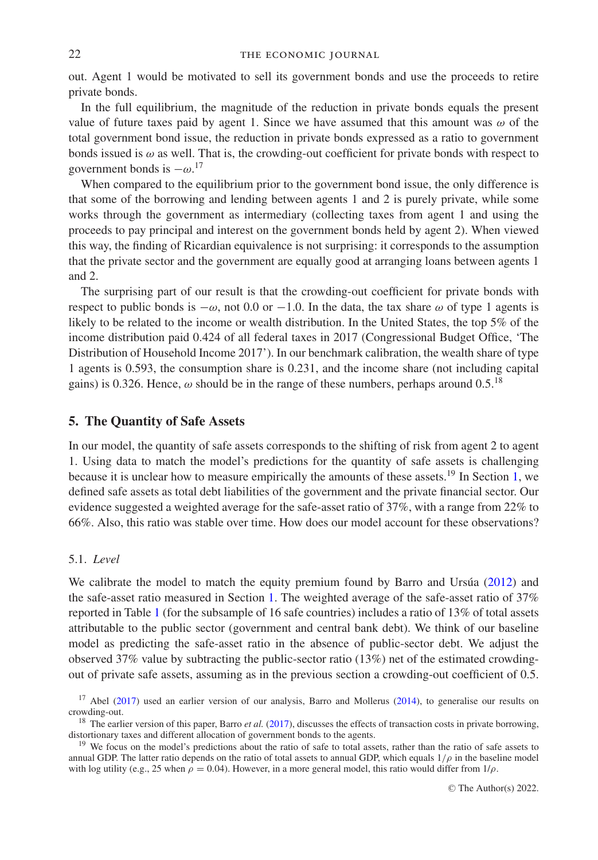### 22 THE ECONOMIC JOURNAL

out. Agent 1 would be motivated to sell its government bonds and use the proceeds to retire private bonds.

In the full equilibrium, the magnitude of the reduction in private bonds equals the present value of future taxes paid by agent 1. Since we have assumed that this amount was  $\omega$  of the total government bond issue, the reduction in private bonds expressed as a ratio to government bonds issued is  $\omega$  as well. That is, the crowding-out coefficient for private bonds with respect to government bonds is  $-\omega$ <sup>17</sup>

When compared to the equilibrium prior to the government bond issue, the only difference is that some of the borrowing and lending between agents 1 and 2 is purely private, while some works through the government as intermediary (collecting taxes from agent 1 and using the proceeds to pay principal and interest on the government bonds held by agent 2). When viewed this way, the finding of Ricardian equivalence is not surprising: it corresponds to the assumption that the private sector and the government are equally good at arranging loans between agents 1 and 2.

The surprising part of our result is that the crowding-out coefficient for private bonds with respect to public bonds is  $-\omega$ , not 0.0 or  $-1.0$ . In the data, the tax share  $\omega$  of type 1 agents is likely to be related to the income or wealth distribution. In the United States, the top 5% of the income distribution paid 0.424 of all federal taxes in 2017 (Congressional Budget Office, 'The Distribution of Household Income 2017'). In our benchmark calibration, the wealth share of type 1 agents is 0.593, the consumption share is 0.231, and the income share (not including capital gains) is 0.326. Hence,  $\omega$  should be in the range of these numbers, perhaps around 0.5.<sup>18</sup>

## <span id="page-21-0"></span>**5. The Quantity of Safe Assets**

In our model, the quantity of safe assets corresponds to the shifting of risk from agent 2 to agent 1. Using data to match the model's predictions for the quantity of safe assets is challenging because it is unclear how to measure empirically the amounts of these assets.<sup>19</sup> In Section [1,](#page-2-0) we defined safe assets as total debt liabilities of the government and the private financial sector. Our evidence suggested a weighted average for the safe-asset ratio of 37%, with a range from 22% to 66%. Also, this ratio was stable over time. How does our model account for these observations?

### <span id="page-21-1"></span>5.1. *Level*

We calibrate the model to match the equity premium found by Barro and Ursua  $(2012)$  $(2012)$  and the safe-asset ratio measured in Section [1.](#page-2-0) The weighted average of the safe-asset ratio of 37% reported in Table [1](#page-3-0) (for the subsample of 16 safe countries) includes a ratio of 13% of total assets attributable to the public sector (government and central bank debt). We think of our baseline model as predicting the safe-asset ratio in the absence of public-sector debt. We adjust the observed 37% value by subtracting the public-sector ratio (13%) net of the estimated crowdingout of private safe assets, assuming as in the previous section a crowding-out coefficient of 0.5.

<sup>&</sup>lt;sup>17</sup> Abel [\(2017\)](#page-24-32) used an earlier version of our analysis, Barro and Mollerus [\(2014\)](#page-24-33), to generalise our results on crowding-out.

<sup>&</sup>lt;sup>18</sup> The earlier version of this paper, Barro *et al.* [\(2017\)](#page-24-30), discusses the effects of transaction costs in private borrowing, distortionary taxes and different allocation of government bonds to the agents.

<sup>&</sup>lt;sup>19</sup> We focus on the model's predictions about the ratio of safe to total assets, rather than the ratio of safe assets to annual GDP. The latter ratio depends on the ratio of total assets to annual GDP, which equals  $1/\rho$  in the baseline model with log utility (e.g., 25 when  $\rho = 0.04$ ). However, in a more general model, this ratio would differ from  $1/\rho$ .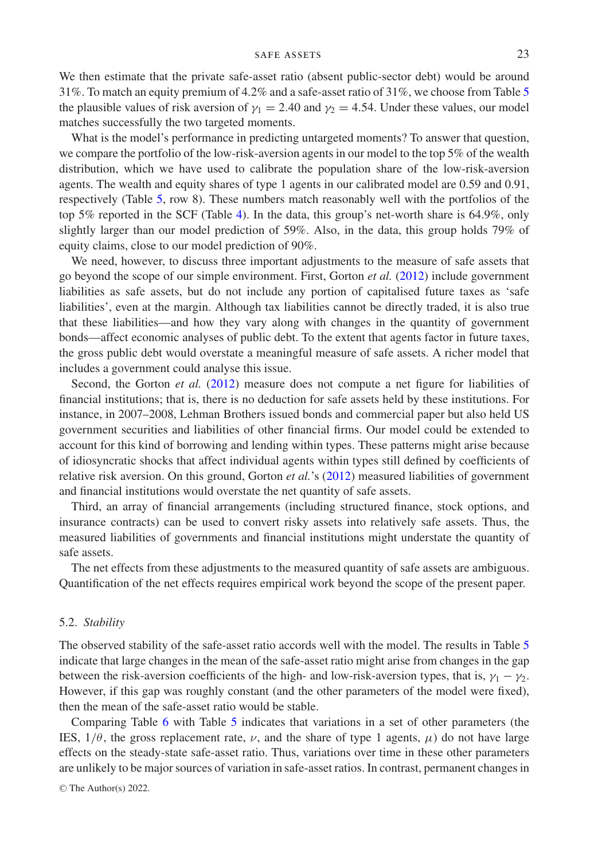We then estimate that the private safe-asset ratio (absent public-sector debt) would be around 31%. To match an equity premium of 4.2% and a safe-asset ratio of 31%, we choose from Table [5](#page-15-0) the plausible values of risk aversion of  $\gamma_1 = 2.40$  and  $\gamma_2 = 4.54$ . Under these values, our model matches successfully the two targeted moments.

What is the model's performance in predicting untargeted moments? To answer that question, we compare the portfolio of the low-risk-aversion agents in our model to the top 5% of the wealth distribution, which we have used to calibrate the population share of the low-risk-aversion agents. The wealth and equity shares of type 1 agents in our calibrated model are 0.59 and 0.91, respectively (Table [5,](#page-15-0) row 8). These numbers match reasonably well with the portfolios of the top 5% reported in the SCF (Table [4\)](#page-13-1). In the data, this group's net-worth share is 64.9%, only slightly larger than our model prediction of 59%. Also, in the data, this group holds 79% of equity claims, close to our model prediction of 90%.

We need, however, to discuss three important adjustments to the measure of safe assets that go beyond the scope of our simple environment. First, Gorton *et al.* [\(2012\)](#page-24-7) include government liabilities as safe assets, but do not include any portion of capitalised future taxes as 'safe liabilities', even at the margin. Although tax liabilities cannot be directly traded, it is also true that these liabilities—and how they vary along with changes in the quantity of government bonds—affect economic analyses of public debt. To the extent that agents factor in future taxes, the gross public debt would overstate a meaningful measure of safe assets. A richer model that includes a government could analyse this issue.

Second, the Gorton *et al.* [\(2012\)](#page-24-7) measure does not compute a net figure for liabilities of financial institutions; that is, there is no deduction for safe assets held by these institutions. For instance, in 2007–2008, Lehman Brothers issued bonds and commercial paper but also held US government securities and liabilities of other financial firms. Our model could be extended to account for this kind of borrowing and lending within types. These patterns might arise because of idiosyncratic shocks that affect individual agents within types still defined by coefficients of relative risk aversion. On this ground, Gorton *et al.*'s [\(2012\)](#page-24-7) measured liabilities of government and financial institutions would overstate the net quantity of safe assets.

Third, an array of financial arrangements (including structured finance, stock options, and insurance contracts) can be used to convert risky assets into relatively safe assets. Thus, the measured liabilities of governments and financial institutions might understate the quantity of safe assets.

The net effects from these adjustments to the measured quantity of safe assets are ambiguous. Quantification of the net effects requires empirical work beyond the scope of the present paper.

#### 5.2. *Stability*

The observed stability of the safe-asset ratio accords well with the model. The results in Table [5](#page-15-0) indicate that large changes in the mean of the safe-asset ratio might arise from changes in the gap between the risk-aversion coefficients of the high- and low-risk-aversion types, that is,  $\gamma_1 - \gamma_2$ . However, if this gap was roughly constant (and the other parameters of the model were fixed), then the mean of the safe-asset ratio would be stable.

Comparing Table [6](#page-16-0) with Table [5](#page-15-0) indicates that variations in a set of other parameters (the IES,  $1/\theta$ , the gross replacement rate,  $\nu$ , and the share of type 1 agents,  $\mu$ ) do not have large effects on the steady-state safe-asset ratio. Thus, variations over time in these other parameters are unlikely to be major sources of variation in safe-asset ratios. In contrast, permanent changes in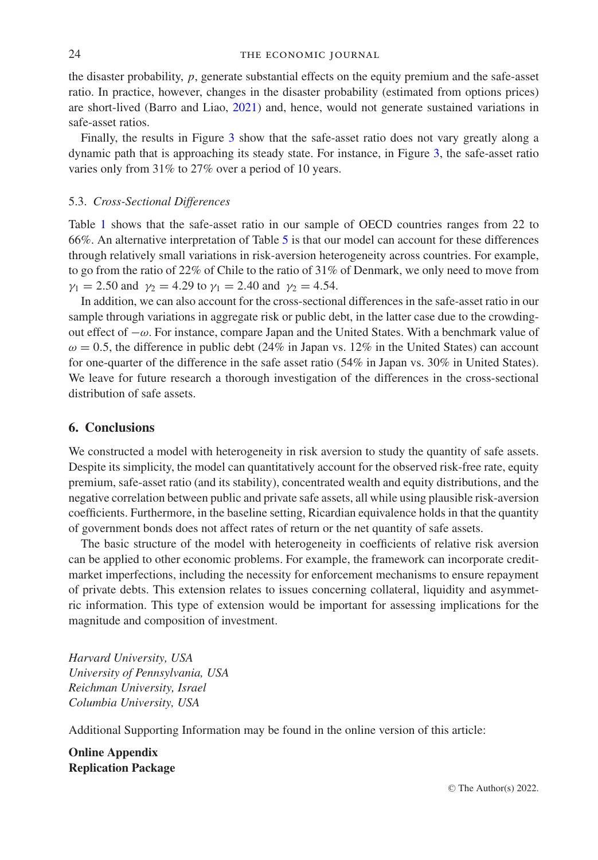#### 24 THE ECONOMIC JOURNAL

the disaster probability, *p*, generate substantial effects on the equity premium and the safe-asset ratio. In practice, however, changes in the disaster probability (estimated from options prices) are short-lived (Barro and Liao, [2021\)](#page-24-34) and, hence, would not generate sustained variations in safe-asset ratios.

Finally, the results in Figure [3](#page-19-1) show that the safe-asset ratio does not vary greatly along a dynamic path that is approaching its steady state. For instance, in Figure [3,](#page-19-1) the safe-asset ratio varies only from 31% to 27% over a period of 10 years.

### 5.3. *Cross-Sectional Differences*

Table [1](#page-3-0) shows that the safe-asset ratio in our sample of OECD countries ranges from 22 to 66%. An alternative interpretation of Table [5](#page-15-0) is that our model can account for these differences through relatively small variations in risk-aversion heterogeneity across countries. For example, to go from the ratio of 22% of Chile to the ratio of 31% of Denmark, we only need to move from  $\gamma_1 = 2.50$  and  $\gamma_2 = 4.29$  to  $\gamma_1 = 2.40$  and  $\gamma_2 = 4.54$ .

In addition, we can also account for the cross-sectional differences in the safe-asset ratio in our sample through variations in aggregate risk or public debt, in the latter case due to the crowdingout effect of −ω. For instance, compare Japan and the United States. With a benchmark value of  $\omega = 0.5$ , the difference in public debt (24% in Japan vs. 12% in the United States) can account for one-quarter of the difference in the safe asset ratio (54% in Japan vs. 30% in United States). We leave for future research a thorough investigation of the differences in the cross-sectional distribution of safe assets.

## <span id="page-23-0"></span>**6. Conclusions**

We constructed a model with heterogeneity in risk aversion to study the quantity of safe assets. Despite its simplicity, the model can quantitatively account for the observed risk-free rate, equity premium, safe-asset ratio (and its stability), concentrated wealth and equity distributions, and the negative correlation between public and private safe assets, all while using plausible risk-aversion coefficients. Furthermore, in the baseline setting, Ricardian equivalence holds in that the quantity of government bonds does not affect rates of return or the net quantity of safe assets.

The basic structure of the model with heterogeneity in coefficients of relative risk aversion can be applied to other economic problems. For example, the framework can incorporate creditmarket imperfections, including the necessity for enforcement mechanisms to ensure repayment of private debts. This extension relates to issues concerning collateral, liquidity and asymmetric information. This type of extension would be important for assessing implications for the magnitude and composition of investment.

*Harvard University, USA University of Pennsylvania, USA Reichman University, Israel Columbia University, USA*

Additional Supporting Information may be found in the online version of this article:

**Online Appendix Replication Package**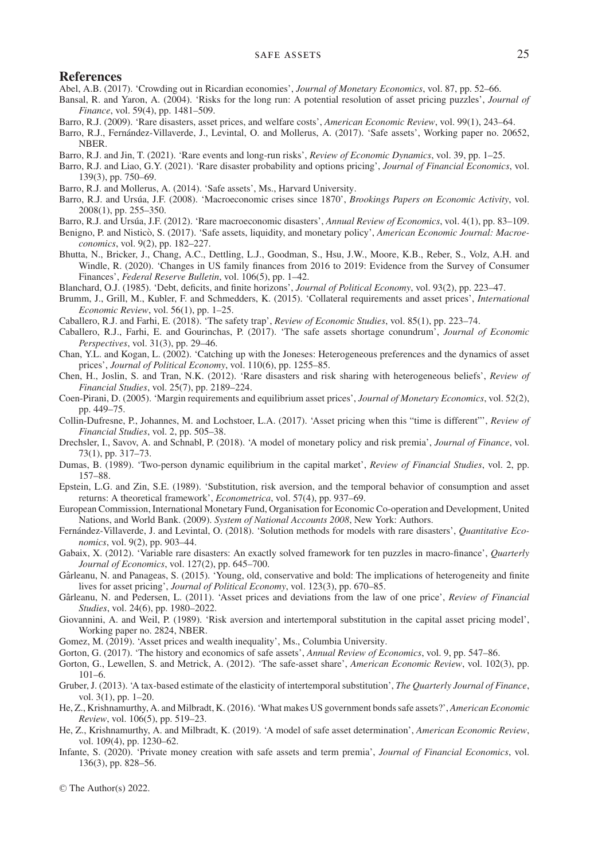#### **References**

- <span id="page-24-32"></span>Abel, A.B. (2017). 'Crowding out in Ricardian economies', *Journal of Monetary Economics*, vol. 87, pp. 52–66.
- <span id="page-24-19"></span>Bansal, R. and Yaron, A. (2004). 'Risks for the long run: A potential resolution of asset pricing puzzles', *Journal of Finance*, vol. 59(4), pp. 1481–509.
- <span id="page-24-9"></span>Barro, R.J. (2009). 'Rare disasters, asset prices, and welfare costs', *American Economic Review*, vol. 99(1), 243–64.
- <span id="page-24-30"></span>Barro, R.J., Fernández-Villaverde, J., Levintal, O. and Mollerus, A. (2017). 'Safe assets', Working paper no. 20652, **NBER**
- <span id="page-24-24"></span>Barro, R.J. and Jin, T. (2021). 'Rare events and long-run risks', *Review of Economic Dynamics*, vol. 39, pp. 1–25.
- <span id="page-24-34"></span>Barro, R.J. and Liao, G.Y. (2021). 'Rare disaster probability and options pricing', *Journal of Financial Economics*, vol. 139(3), pp. 750–69.
- <span id="page-24-33"></span>Barro, R.J. and Mollerus, A. (2014). 'Safe assets', Ms., Harvard University.
- <span id="page-24-23"></span>Barro, R.J. and Ursúa, J.F. (2008). 'Macroeconomic crises since 1870', *Brookings Papers on Economic Activity*, vol. 2008(1), pp. 255–350.
- <span id="page-24-29"></span>Barro, R.J. and Ursúa, J.F. (2012). 'Rare macroeconomic disasters', *Annual Review of Economics*, vol. 4(1), pp. 83–109.
- <span id="page-24-4"></span>Benigno, P. and Nistico, S. (2017). 'Safe assets, liquidity, and monetary policy', *American Economic Journal: Macroeconomics*, vol. 9(2), pp. 182–227.
- <span id="page-24-27"></span>Bhutta, N., Bricker, J., Chang, A.C., Dettling, L.J., Goodman, S., Hsu, J.W., Moore, K.B., Reber, S., Volz, A.H. and Windle, R. (2020). 'Changes in US family finances from 2016 to 2019: Evidence from the Survey of Consumer Finances', *Federal Reserve Bulletin*, vol. 106(5), pp. 1–42.
- <span id="page-24-31"></span>Blanchard, O.J. (1985). 'Debt, deficits, and finite horizons', *Journal of Political Economy*, vol. 93(2), pp. 223–47.
- <span id="page-24-14"></span>Brumm, J., Grill, M., Kubler, F. and Schmedders, K. (2015). 'Collateral requirements and asset prices', *International Economic Review*, vol. 56(1), pp. 1–25.
- <span id="page-24-1"></span>Caballero, R.J. and Farhi, E. (2018). 'The safety trap', *Review of Economic Studies*, vol. 85(1), pp. 223–74.
- <span id="page-24-0"></span>Caballero, R.J., Farhi, E. and Gourinchas, P. (2017). 'The safe assets shortage conundrum', *Journal of Economic Perspectives*, vol. 31(3), pp. 29–46.
- <span id="page-24-11"></span>Chan, Y.L. and Kogan, L. (2002). 'Catching up with the Joneses: Heterogeneous preferences and the dynamics of asset prices', *Journal of Political Economy*, vol. 110(6), pp. 1255–85.
- <span id="page-24-20"></span>Chen, H., Joslin, S. and Tran, N.K. (2012). 'Rare disasters and risk sharing with heterogeneous beliefs', *Review of Financial Studies*, vol. 25(7), pp. 2189–224.
- <span id="page-24-12"></span>Coen-Pirani, D. (2005). 'Margin requirements and equilibrium asset prices', *Journal of Monetary Economics*, vol. 52(2), pp. 449–75.
- <span id="page-24-21"></span>Collin-Dufresne, P., Johannes, M. and Lochstoer, L.A. (2017). 'Asset pricing when this "time is different"', *Review of Financial Studies*, vol. 2, pp. 505–38.
- <span id="page-24-16"></span>Drechsler, I., Savov, A. and Schnabl, P. (2018). 'A model of monetary policy and risk premia', *Journal of Finance*, vol. 73(1), pp. 317–73.
- <span id="page-24-10"></span>Dumas, B. (1989). 'Two-person dynamic equilibrium in the capital market', *Review of Financial Studies*, vol. 2, pp. 157–88.
- <span id="page-24-8"></span>Epstein, L.G. and Zin, S.E. (1989). 'Substitution, risk aversion, and the temporal behavior of consumption and asset returns: A theoretical framework', *Econometrica*, vol. 57(4), pp. 937–69.
- <span id="page-24-22"></span>European Commission, International Monetary Fund, Organisation for Economic Co-operation and Development, United Nations, and World Bank. (2009). *System of National Accounts 2008*, New York: Authors.
- <span id="page-24-28"></span>Fernández-Villaverde, J. and Levintal, O. (2018). 'Solution methods for models with rare disasters', *Quantitative Economics*, vol. 9(2), pp. 903–44.
- <span id="page-24-25"></span>Gabaix, X. (2012). 'Variable rare disasters: An exactly solved framework for ten puzzles in macro-finance', *Quarterly Journal of Economics*, vol. 127(2), pp. 645–700.
- <span id="page-24-15"></span>Gârleanu, N. and Panageas, S. (2015). 'Young, old, conservative and bold: The implications of heterogeneity and finite lives for asset pricing', *Journal of Political Economy*, vol. 123(3), pp. 670–85.
- <span id="page-24-13"></span>Gârleanu, N. and Pedersen, L. (2011). 'Asset prices and deviations from the law of one price', *Review of Financial Studies*, vol. 24(6), pp. 1980–2022.
- <span id="page-24-26"></span>Giovannini, A. and Weil, P. (1989). 'Risk aversion and intertemporal substitution in the capital asset pricing model', Working paper no. 2824, NBER.
- <span id="page-24-17"></span>Gomez, M. (2019). 'Asset prices and wealth inequality', Ms., Columbia University.
- <span id="page-24-6"></span>Gorton, G. (2017). 'The history and economics of safe assets', *Annual Review of Economics*, vol. 9, pp. 547–86.
- <span id="page-24-7"></span>Gorton, G., Lewellen, S. and Metrick, A. (2012). 'The safe-asset share', *American Economic Review*, vol. 102(3), pp. 101–6.
- <span id="page-24-18"></span>Gruber, J. (2013). 'A tax-based estimate of the elasticity of intertemporal substitution', *The Quarterly Journal of Finance*, vol. 3(1), pp. 1–20.
- <span id="page-24-2"></span>He, Z., Krishnamurthy, A. and Milbradt, K. (2016). 'What makes US government bonds safe assets?', *American Economic Review*, vol. 106(5), pp. 519–23.
- <span id="page-24-3"></span>He, Z., Krishnamurthy, A. and Milbradt, K. (2019). 'A model of safe asset determination', *American Economic Review*, vol. 109(4), pp. 1230–62.
- <span id="page-24-5"></span>Infante, S. (2020). 'Private money creation with safe assets and term premia', *Journal of Financial Economics*, vol. 136(3), pp. 828–56.